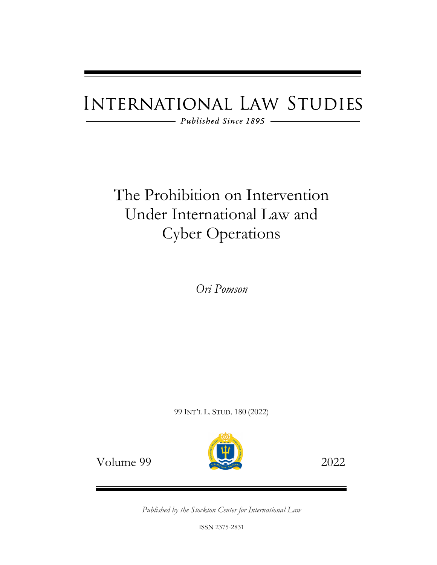# **INTERNATIONAL LAW STUDIES**

 $\longrightarrow$  Published Since 1895  $\longrightarrow$ 

# The Prohibition on Intervention Under International Law and Cyber Operations

*Ori Pomson*

99 INT'L L. STUD. 180 (2022)



Volume 99 2022

*Published by the Stockton Center for International Law*

ISSN 2375-2831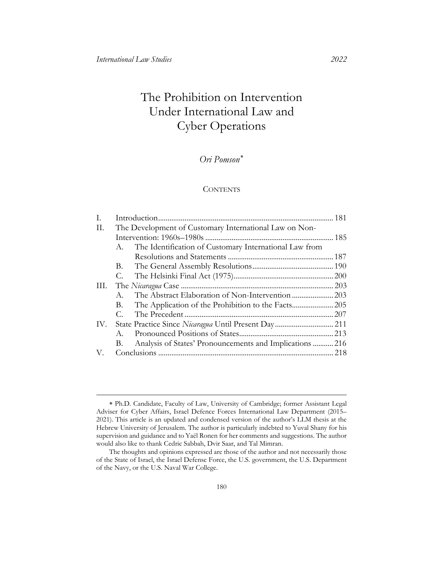# The Prohibition on Intervention Under International Law and Cyber Operations

## *Ori Pomson*[∗](#page-1-0)

#### **CONTENTS**

| T.  |                                                              |     |
|-----|--------------------------------------------------------------|-----|
| П.  | The Development of Customary International Law on Non-       |     |
|     |                                                              |     |
|     | The Identification of Customary International Law from<br>А. |     |
|     |                                                              |     |
|     | В.                                                           |     |
|     | С.                                                           |     |
| Ш.  |                                                              |     |
|     | $A_{-}$                                                      |     |
|     | В.                                                           |     |
|     | С.                                                           |     |
| IV. |                                                              |     |
|     | $A_{-}$                                                      |     |
|     | Analysis of States' Pronouncements and Implications216<br>В. |     |
| V.  |                                                              | 218 |

<span id="page-1-0"></span><sup>∗</sup> Ph.D. Candidate, Faculty of Law, University of Cambridge; former Assistant Legal Adviser for Cyber Affairs, Israel Defence Forces International Law Department (2015– 2021). This article is an updated and condensed version of the author's LLM thesis at the Hebrew University of Jerusalem. The author is particularly indebted to Yuval Shany for his supervision and guidance and to Yaël Ronen for her comments and suggestions. The author would also like to thank Cedric Sabbah, Dvir Saar, and Tal Mimran.

The thoughts and opinions expressed are those of the author and not necessarily those of the State of Israel, the Israel Defense Force, the U.S. government, the U.S. Department of the Navy, or the U.S. Naval War College.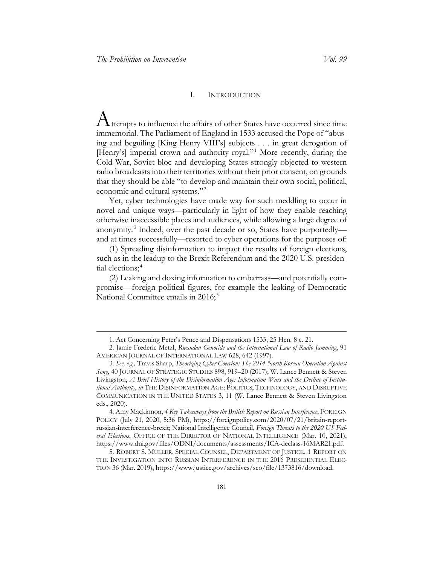#### I. INTRODUCTION

<span id="page-2-0"></span> $A$ <sub>ttempts</sub> to influence the affairs of other States have occurred since time immemorial. The Parliament of England in 1533 accused the Pope of "abusing and beguiling [King Henry VIII's] subjects . . . in great derogation of [Henry's] imperial crown and authority royal."<sup>[1](#page-2-1)</sup> More recently, during the Cold War, Soviet bloc and developing States strongly objected to western radio broadcasts into their territories without their prior consent, on grounds that they should be able "to develop and maintain their own social, political, economic and cultural systems."<sup>[2](#page-2-2)</sup>

Yet, cyber technologies have made way for such meddling to occur in novel and unique ways—particularly in light of how they enable reaching otherwise inaccessible places and audiences, while allowing a large degree of anonymity. [3](#page-2-3) Indeed, over the past decade or so, States have purportedly and at times successfully—resorted to cyber operations for the purposes of:

(1) Spreading disinformation to impact the results of foreign elections, such as in the leadup to the Brexit Referendum and the 2020 U.S. presiden-tial elections;<sup>[4](#page-2-4)</sup>

(2) Leaking and doxing information to embarrass—and potentially compromise—foreign political figures, for example the leaking of Democratic National Committee emails in 2016;<sup>[5](#page-2-5)</sup>

<sup>1.</sup> Act Concerning Peter's Pence and Dispensations 1533, 25 Hen. 8 c. 21.

<span id="page-2-2"></span><span id="page-2-1"></span><sup>2.</sup> Jamie Frederic Metzl, *Rwandan Genocide and the International Law of Radio Jamming*, 91 AMERICAN JOURNAL OF INTERNATIONAL LAW 628, 642 (1997).

<span id="page-2-3"></span><sup>3.</sup> *See, e.g.,* Travis Sharp, *Theorizing Cyber Coercion: The 2014 North Korean Operation Against Sony*, 40 JOURNAL OF STRATEGIC STUDIES 898, 919–20 (2017); W. Lance Bennett & Steven Livingston, *A Brief History of the Disinformation Age: Information Wars and the Decline of Institutional Authority*, *in* THE DISINFORMATION AGE: POLITICS, TECHNOLOGY, AND DISRUPTIVE COMMUNICATION IN THE UNITED STATES 3, 11 (W. Lance Bennett & Steven Livingston eds., 2020).

<span id="page-2-4"></span><sup>4.</sup> Amy Mackinnon, *4 Key Takeaways from the British Report on Russian Interference*, FOREIGN POLICY (July 21, 2020, 5:36 PM), https://foreignpolicy.com/2020/07/21/britain-reportrussian-interference-brexit; National Intelligence Council, *Foreign Threats to the 2020 US Federal Elections*, OFFICE OF THE DIRECTOR OF NATIONAL INTELLIGENCE (Mar. 10, 2021), https://www.dni.gov/files/ODNI/documents/assessments/ICA-declass-16MAR21.pdf.

<span id="page-2-5"></span><sup>5.</sup> ROBERT S. MULLER, SPECIAL COUNSEL, DEPARTMENT OF JUSTICE, 1 REPORT ON THE INVESTIGATION INTO RUSSIAN INTERFERENCE IN THE 2016 PRESIDENTIAL ELEC-TION 36 (Mar. 2019), https://www.justice.gov/archives/sco/file/1373816/download.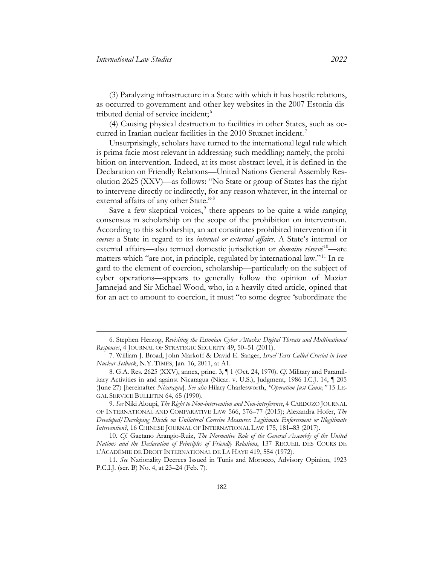(3) Paralyzing infrastructure in a State with which it has hostile relations, as occurred to government and other key websites in the 2007 Estonia distributed denial of service incident; [6](#page-3-0)

(4) Causing physical destruction to facilities in other States, such as oc-curred in Iranian nuclear facilities in the 2010 Stuxnet incident.<sup>[7](#page-3-1)</sup>

Unsurprisingly, scholars have turned to the international legal rule which is prima facie most relevant in addressing such meddling; namely, the prohibition on intervention. Indeed, at its most abstract level, it is defined in the Declaration on Friendly Relations—United Nations General Assembly Resolution 2625 (XXV)—as follows: "No State or group of States has the right to intervene directly or indirectly, for any reason whatever, in the internal or external affairs of any other State."<sup>[8](#page-3-2)</sup>

<span id="page-3-8"></span><span id="page-3-7"></span><span id="page-3-6"></span>Save a few skeptical voices, $9$  there appears to be quite a wide-ranging consensus in scholarship on the scope of the prohibition on intervention. According to this scholarship, an act constitutes prohibited intervention if it *coerces* a State in regard to its *internal or external affairs*. A State's internal or external affairs—also termed domestic jurisdiction or *domaine réservé*<sup>[10](#page-3-4)</sup>—are matters which "are not, in principle, regulated by international law."<sup>[11](#page-3-5)</sup> In regard to the element of coercion, scholarship—particularly on the subject of cyber operations—appears to generally follow the opinion of Maziar Jamnejad and Sir Michael Wood, who, in a heavily cited article, opined that for an act to amount to coercion, it must "to some degree 'subordinate the

<span id="page-3-0"></span><sup>6.</sup> Stephen Herzog, *Revisiting the Estonian Cyber Attacks: Digital Threats and Multinational Responses*, 4 JOURNAL OF STRATEGIC SECURITY 49, 50–51 (2011).

<span id="page-3-1"></span><sup>7.</sup> William J. Broad, John Markoff & David E. Sanger, *Israel Tests Called Crucial in Iran Nuclear Setback*, N.Y. TIMES, Jan. 16, 2011, at A1.

<span id="page-3-2"></span><sup>8.</sup> G.A. Res. 2625 (XXV), annex, princ. 3, ¶ 1 (Oct. 24, 1970). *Cf.* Military and Paramilitary Activities in and against Nicaragua (Nicar. v. U.S.), Judgment, 1986 I.C.J. 14, ¶ 205 (June 27) [hereinafter *Nicaragua*]. *See also* Hilary Charlesworth, *"Operation Just Cause,"* 15 LE-GAL SERVICE BULLETIN 64, 65 (1990).

<span id="page-3-3"></span><sup>9.</sup> *See* Niki Aloupi, *The Right to Non-intervention and Non-interference*, 4 CARDOZO JOURNAL OF INTERNATIONAL AND COMPARATIVE LAW 566, 576–77 (2015); Alexandra Hofer, *The Developed/Developing Divide on Unilateral Coercive Measures: Legitimate Enforcement or Illegitimate Intervention?*, 16 CHINESE JOURNAL OF INTERNATIONAL LAW 175, 181–83 (2017).

<span id="page-3-4"></span><sup>10.</sup> *Cf*. Gaetano Arangio-Ruiz, *The Normative Role of the General Assembly of the United Nations and the Declaration of Principles of Friendly Relations*, 137 RECUEIL DES COURS DE L'ACADÉMIE DE DROIT INTERNATIONAL DE LA HAYE 419, 554 (1972).

<span id="page-3-5"></span><sup>11.</sup> *See* Nationality Decrees Issued in Tunis and Morocco, Advisory Opinion, 1923 P.C.I.J. (ser. B) No. 4, at 23–24 (Feb. 7).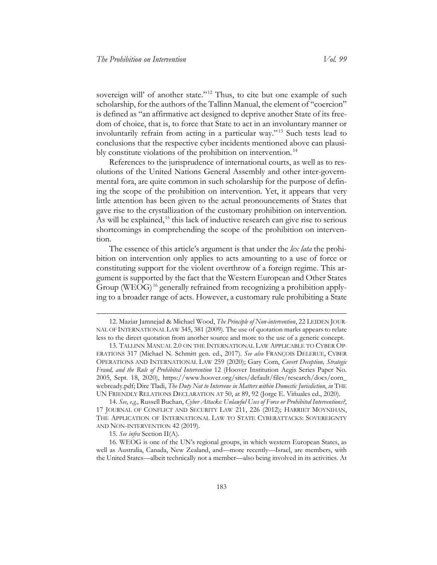<span id="page-4-5"></span>sovereign will' of another state."<sup>[12](#page-4-0)</sup> Thus, to cite but one example of such scholarship, for the authors of the Tallinn Manual, the element of "coercion" is defined as "an affirmative act designed to deprive another State of its freedom of choice, that is, to force that State to act in an involuntary manner or involuntarily refrain from acting in a particular way."<sup>[13](#page-4-1)</sup> Such tests lead to conclusions that the respective cyber incidents mentioned above can plausibly constitute violations of the prohibition on intervention. [14](#page-4-2)

<span id="page-4-7"></span><span id="page-4-6"></span>References to the jurisprudence of international courts, as well as to resolutions of the United Nations General Assembly and other inter-governmental fora, are quite common in such scholarship for the purpose of defining the scope of the prohibition on intervention. Yet, it appears that very little attention has been given to the actual pronouncements of States that gave rise to the crystallization of the customary prohibition on intervention. As will be explained,<sup>[15](#page-4-3)</sup> this lack of inductive research can give rise to serious shortcomings in comprehending the scope of the prohibition on intervention.

The essence of this article's argument is that under the *lex lata* the prohibition on intervention only applies to acts amounting to a use of force or constituting support for the violent overthrow of a foreign regime. This argument is supported by the fact that the Western European and Other States Group (WEOG)<sup>[16](#page-4-4)</sup> generally refrained from recognizing a prohibition applying to a broader range of acts. However, a customary rule prohibiting a State

15. *See infra* Section II(A).

<span id="page-4-4"></span><span id="page-4-3"></span>16. WEOG is one of the UN's regional groups, in which western European States, as well as Australia, Canada, New Zealand, and—more recently—Israel, are members, with the United States—albeit technically not a member—also being involved in its activities. At

<span id="page-4-0"></span><sup>12.</sup> Maziar Jamnejad & Michael Wood, *The Principle of Non-intervention*, 22 LEIDEN JOUR-NAL OF INTERNATIONAL LAW 345, 381 (2009). The use of quotation marks appears to relate less to the direct quotation from another source and more to the use of a generic concept.

<span id="page-4-1"></span><sup>13.</sup> TALLINN MANUAL 2.0 ON THE INTERNATIONAL LAW APPLICABLE TO CYBER OP-ERATIONS 317 (Michael N. Schmitt gen. ed., 2017). *See also* FRANÇOIS DELERUE, CYBER OPERATIONS AND INTERNATIONAL LAW 259 (2020); Gary Corn, *Covert Deception, Strategic Fraud, and the Rule of Prohibited Intervention* 12 (Hoover Institution Aegis Series Paper No. 2005, Sept. 18, 2020), https://www.hoover.org/sites/default/files/research/docs/corn\_ webready.pdf; Dire Tladi, *The Duty Not to Intervene in Matters within Domestic Jurisdiction*, *in* THE UN FRIENDLY RELATIONS DECLARATION AT 50, at 89, 92 (Jorge E. Viñuales ed., 2020).

<span id="page-4-2"></span><sup>14.</sup> *See, e.g.,* Russell Buchan, *Cyber Attacks: Unlawful Uses of Force or Prohibited Interventions?*, 17 JOURNAL OF CONFLICT AND SECURITY LAW 211, 226 (2012); HARRIET MOYNIHAN, THE APPLICATION OF INTERNATIONAL LAW TO STATE CYBERATTACKS: SOVEREIGNTY AND NON-INTERVENTION 42 (2019).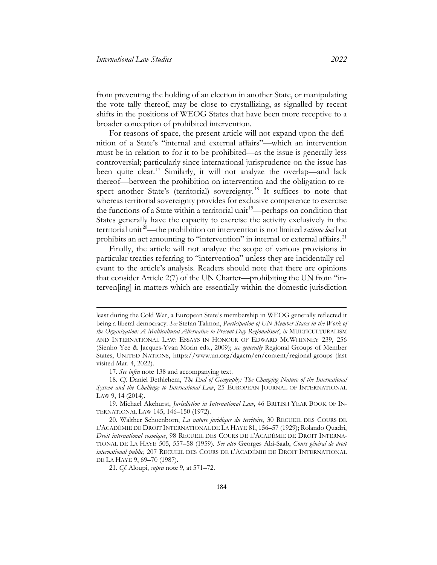from preventing the holding of an election in another State, or manipulating the vote tally thereof, may be close to crystallizing, as signalled by recent shifts in the positions of WEOG States that have been more receptive to a broader conception of prohibited intervention.

For reasons of space, the present article will not expand upon the definition of a State's "internal and external affairs"—which an intervention must be in relation to for it to be prohibited—as the issue is generally less controversial; particularly since international jurisprudence on the issue has been quite clear.<sup>[17](#page-5-0)</sup> Similarly, it will not analyze the overlap—and lack thereof—between the prohibition on intervention and the obligation to re-spect another State's (territorial) sovereignty.<sup>[18](#page-5-1)</sup> It suffices to note that whereas territorial sovereignty provides for exclusive competence to exercise the functions of a State within a territorial unit<sup>19</sup>—perhaps on condition that States generally have the capacity to exercise the activity exclusively in the territorial unit [20](#page-5-3)—the prohibition on intervention is not limited *ratione loci* but prohibits an act amounting to "intervention" in internal or external affairs. [21](#page-5-4)

Finally, the article will not analyze the scope of various provisions in particular treaties referring to "intervention" unless they are incidentally relevant to the article's analysis. Readers should note that there are opinions that consider Article 2(7) of the UN Charter—prohibiting the UN from "interven[ing] in matters which are essentially within the domestic jurisdiction

least during the Cold War, a European State's membership in WEOG generally reflected it being a liberal democracy. *See* Stefan Talmon, *Participation of UN Member States in the Work of the Organization: A Multicultural Alternative to Present-Day Regionalism?*, *in* MULTICULTURALISM AND INTERNATIONAL LAW: ESSAYS IN HONOUR OF EDWARD MCWHINNEY 239, 256 (Sienho Yee & Jacques-Yvan Morin eds., 2009); *see generally* Regional Groups of Member States, UNITED NATIONS, https://www.un.org/dgacm/en/content/regional-groups (last visited Mar. 4, 2022).

<sup>17.</sup> *See infra* note [138](#page-25-0) and accompanying text.

<span id="page-5-1"></span><span id="page-5-0"></span><sup>18.</sup> *Cf*. Daniel Bethlehem, *The End of Geography: The Changing Nature of the International System and the Challenge to International Law*, 25 EUROPEAN JOURNAL OF INTERNATIONAL LAW 9, 14 (2014).

<span id="page-5-2"></span><sup>19.</sup> Michael Akehurst, *Jurisdiction in International Law*, 46 BRITISH YEAR BOOK OF IN-TERNATIONAL LAW 145, 146–150 (1972).

<span id="page-5-4"></span><span id="page-5-3"></span><sup>20.</sup> Walther Schoenborn, *La nature juridique du territoire*, 30 RECUEIL DES COURS DE L'ACADÉMIE DE DROIT INTERNATIONAL DE LA HAYE 81, 156–57 (1929); Rolando Quadri, *Droit international cosmique*, 98 RECUEIL DES COURS DE L'ACADÉMIE DE DROIT INTERNA-TIONAL DE LA HAYE 505, 557–58 (1959). *See also* Georges Abi-Saab, *Cours général de droit international public*, 207 RECUEIL DES COURS DE L'ACADÉMIE DE DROIT INTERNATIONAL DE LA HAYE 9, 69–70 (1987).

<sup>21.</sup> *Cf*. Aloupi, *supra* note [9,](#page-3-6) at 571–72.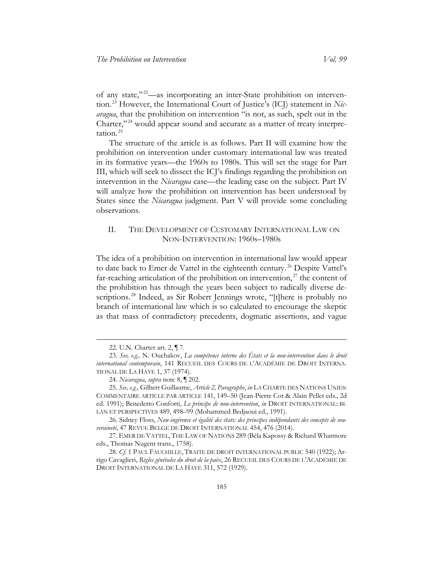of any state," [22](#page-6-1)—as incorporating an inter-State prohibition on intervention. [23](#page-6-2) However, the International Court of Justice's (ICJ) statement in *Nicaragua*, that the prohibition on intervention "is not, as such, spelt out in the Charter,"<sup>[24](#page-6-3)</sup> would appear sound and accurate as a matter of treaty interpretation. [25](#page-6-4)

The structure of the article is as follows. Part II will examine how the prohibition on intervention under customary international law was treated in its formative years—the 1960s to 1980s. This will set the stage for Part III, which will seek to dissect the ICJ's findings regarding the prohibition on intervention in the *Nicaragua* case—the leading case on the subject. Part IV will analyze how the prohibition on intervention has been understood by States since the *Nicaragua* judgment. Part V will provide some concluding observations.

### <span id="page-6-0"></span>II. THE DEVELOPMENT OF CUSTOMARY INTERNATIONAL LAW ON NON-INTERVENTION: 1960s–1980s

The idea of a prohibition on intervention in international law would appear to date back to Emer de Vattel in the eighteenth century.<sup>[26](#page-6-5)</sup> Despite Vattel's far-reaching articulation of the prohibition on intervention, $^{27}$  $^{27}$  $^{27}$  the content of the prohibition has through the years been subject to radically diverse de-scriptions.<sup>[28](#page-6-7)</sup> Indeed, as Sir Robert Jennings wrote, "[t]here is probably no branch of international law which is so calculated to encourage the skeptic as that mass of contradictory precedents, dogmatic assertions, and vague

<sup>22.</sup> U.N. Charter art. 2, ¶ 7.

<span id="page-6-2"></span><span id="page-6-1"></span><sup>23.</sup> *See, e.g.,* N. Ouchakov, *La compétence interne des États et la non-intervention dans le droit international contemporain*, 141 RECUEIL DES COURS DE L'ACADÉMIE DE DROIT INTERNA-TIONAL DE LA HAYE 1, 37 (1974).

<sup>24.</sup> *Nicaragua*, *supra* note [8,](#page-3-7) ¶ 202.

<span id="page-6-4"></span><span id="page-6-3"></span><sup>25.</sup> *See, e.g.,* Gilbert Guillaume, *Article 2, Paragraphe*, *in* LA CHARTE DES NATIONS UNIES: COMMENTAIRE ARTICLE PAR ARTICLE 141, 149–50 (Jean-Pierre Cot & Alain Pellet eds., 2d ed. 1991); Benedetto Conforti, *Le principe de non-intervention*, *in* DROIT INTERNATIONAL: BI-LAN ET PERSPECTIVES 489, 498–99 (Mohammed Bedjaoui ed., 1991).

<span id="page-6-5"></span><sup>26.</sup> Sidney Floss, *Non-ingérence et égalité des états: des principes indépendants des concepts de souveraineté*, 47 [REVUE BELGE DE DROIT INTERNATIONAL](https://dialnet.unirioja.es/servlet/revista?codigo=11546) 454, 476 (2014).

<span id="page-6-6"></span><sup>27.</sup> EMER DE VATTEL, THE LAW OF NATIONS 289 (Béla Kapossy & Richard Whatmore eds., Thomas Nugent trans., 1758).

<span id="page-6-7"></span><sup>28.</sup> *Cf.* 1 PAUL FAUCHILLE, TRAITE DE DROIT INTERNATIONAL PUBLIC 540 (1922); Arrigo Cavaglieri, *Règles générales du droit de la paix*, 26 RECUEIL DES COURS DE L'ACADÉMIE DE DROIT INTERNATIONAL DE LA HAYE 311, 572 (1929).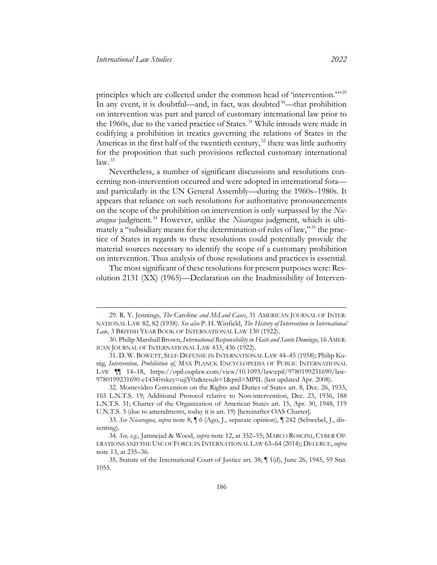principles which are collected under the common head of 'intervention.'"<sup>[29](#page-7-0)</sup> In any event, it is doubtful—and, in fact, was doubted $30$ —that prohibition on intervention was part and parcel of customary international law prior to the 1960s, due to the varied practice of States. [31](#page-7-2) While inroads were made in codifying a prohibition in treaties governing the relations of States in the Americas in the first half of the twentieth century,<sup>[32](#page-7-3)</sup> there was little authority for the proposition that such provisions reflected customary international  $law.<sup>33</sup>$  $law.<sup>33</sup>$  $law.<sup>33</sup>$ 

<span id="page-7-8"></span>Nevertheless, a number of significant discussions and resolutions concerning non-intervention occurred and were adopted in international fora and particularly in the UN General Assembly—during the 1960s–1980s. It appears that reliance on such resolutions for authoritative pronouncements on the scope of the prohibition on intervention is only surpassed by the *Nicaragua* judgment. [34](#page-7-5) However, unlike the *Nicaragua* judgment, which is ulti-mately a "subsidiary means for the determination of rules of law,"<sup>[35](#page-7-6)</sup> the practice of States in regards to these resolutions could potentially provide the material sources necessary to identify the scope of a customary prohibition on intervention. Thus analysis of those resolutions and practices is essential.

<span id="page-7-7"></span>The most significant of these resolutions for present purposes were: Resolution 2131 (XX) (1965)—Declaration on the Inadmissibility of Interven-

<span id="page-7-0"></span><sup>29.</sup> R. Y. Jennings, *The* Caroline *and McLeod Cases*, 31 AMERICAN JOURNAL OF INTER-NATIONAL LAW 82, 82 (1938). *See also* P. H. Winfield, *The History of Intervention in International Law*, 3 BRITISH YEAR BOOK OF INTERNATIONAL LAW 130 (1922).

<span id="page-7-1"></span><sup>30.</sup> Philip Marshall Brown, *International Responsibility in Haiti and Santo Domingo*, 16 AMER-ICAN JOURNAL OF INTERNATIONAL LAW 433, 436 (1922).

<span id="page-7-2"></span><sup>31.</sup> D. W. BOWETT, SELF-DEFENSE IN INTERNATIONAL LAW 44–45 (1958); Philip Kunig, *Intervention, Prohibition of*, MAX PLANCK ENCYCLOPEDIA OF PUBLIC INTERNATIONAL LAW ¶¶ 14–18, [https://opil.ouplaw.com/view/10.1093/law:epil/9780199231690/law-](https://opil.ouplaw.com/view/10.1093/law:epil/9780199231690/law-9780199231690-e1434?rskey=ujjY0z&result=1&prd=MPIL)[9780199231690-e1434?rskey=ujjY0z&result=1&prd=MPIL](https://opil.ouplaw.com/view/10.1093/law:epil/9780199231690/law-9780199231690-e1434?rskey=ujjY0z&result=1&prd=MPIL) (last updated Apr. 2008).

<span id="page-7-3"></span><sup>32.</sup> Montevideo Convention on the Rights and Duties of States art. 8, Dec. 26, 1933, 165 L.N.T.S. 19; Additional Protocol relative to Non-intervention, Dec. 23, 1936, 188 L.N.T.S. 31; Charter of the Organization of American States art. 15, Apr. 30, 1948, 119 U.N.T.S. 3 (due to amendments, today it is art. 19) [hereinafter OAS Charter].

<span id="page-7-4"></span><sup>33.</sup> *See Nicaragua*, *supra* note [8,](#page-3-7) ¶ 6 (Ago, J., separate opinion), ¶ 242 (Schwebel, J., dissenting).

<span id="page-7-5"></span><sup>34.</sup> *See, e.g.,* Jamnejad & Wood, *supra* note [12,](#page-4-5) at 352–55; MARCO ROSCINI, CYBER OP-ERATIONS AND THE USE OF FORCE IN INTERNATIONAL LAW 63–64 (2014); DELERUE, *supra* note [13,](#page-4-6) at 235–36.

<span id="page-7-6"></span><sup>35.</sup> Statute of the International Court of Justice art. 38, ¶ 1(d), June 26, 1945, 59 Stat. 1055.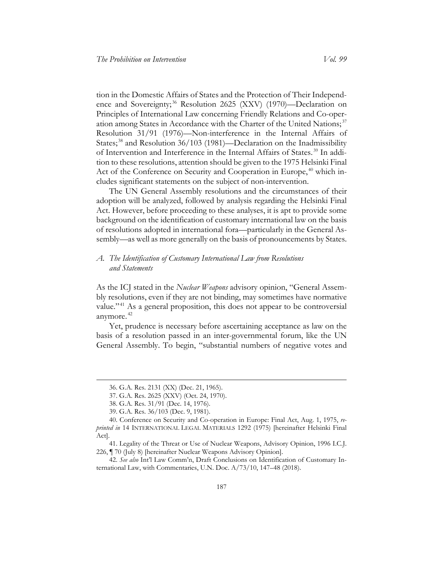tion in the Domestic Affairs of States and the Protection of Their Independ-ence and Sovereignty;<sup>[36](#page-8-1)</sup> Resolution 2625 (XXV) (1970)—Declaration on Principles of International Law concerning Friendly Relations and Co-oper-ation among States in Accordance with the Charter of the United Nations;<sup>[37](#page-8-2)</sup> Resolution 31/91 (1976)—Non-interference in the Internal Affairs of States;<sup>[38](#page-8-3)</sup> and Resolution 36/103 (1981)—Declaration on the Inadmissibility of Intervention and Interference in the Internal Affairs of States. [39](#page-8-4) In addition to these resolutions, attention should be given to the 1975 Helsinki Final Act of the Conference on Security and Cooperation in Europe,<sup>[40](#page-8-5)</sup> which includes significant statements on the subject of non-intervention.

<span id="page-8-10"></span>The UN General Assembly resolutions and the circumstances of their adoption will be analyzed, followed by analysis regarding the Helsinki Final Act. However, before proceeding to these analyses, it is apt to provide some background on the identification of customary international law on the basis of resolutions adopted in international fora—particularly in the General Assembly—as well as more generally on the basis of pronouncements by States.

### <span id="page-8-0"></span>*A. The Identification of Customary International Law from Resolutions and Statements*

<span id="page-8-9"></span><span id="page-8-8"></span>As the ICJ stated in the *Nuclear Weapons* advisory opinion, "General Assembly resolutions, even if they are not binding, may sometimes have normative value."<sup>[41](#page-8-6)</sup> As a general proposition, this does not appear to be controversial anymore. [42](#page-8-7)

Yet, prudence is necessary before ascertaining acceptance as law on the basis of a resolution passed in an inter-governmental forum, like the UN General Assembly. To begin, "substantial numbers of negative votes and

<sup>36.</sup> G.A. Res. 2131 (XX) (Dec. 21, 1965).

<sup>37.</sup> G.A. Res. 2625 (XXV) (Oct. 24, 1970).

<sup>38.</sup> G.A. Res. 31/91 (Dec. 14, 1976).

<sup>39.</sup> G.A. Res. 36/103 (Dec. 9, 1981).

<span id="page-8-5"></span><span id="page-8-4"></span><span id="page-8-3"></span><span id="page-8-2"></span><span id="page-8-1"></span><sup>40.</sup> Conference on Security and Co-operation in Europe: Final Act, Aug. 1, 1975, *reprinted in* 14 INTERNATIONAL LEGAL MATERIALS 1292 (1975) [hereinafter Helsinki Final Act].

<span id="page-8-6"></span><sup>41.</sup> Legality of the Threat or Use of Nuclear Weapons, Advisory Opinion, 1996 I.C.J. 226, ¶ 70 (July 8) [hereinafter Nuclear Weapons Advisory Opinion].

<span id="page-8-7"></span><sup>42.</sup> *See also* Int'l Law Comm'n, Draft Conclusions on Identification of Customary International Law, with Commentaries, U.N. Doc. A/73/10, 147–48 (2018).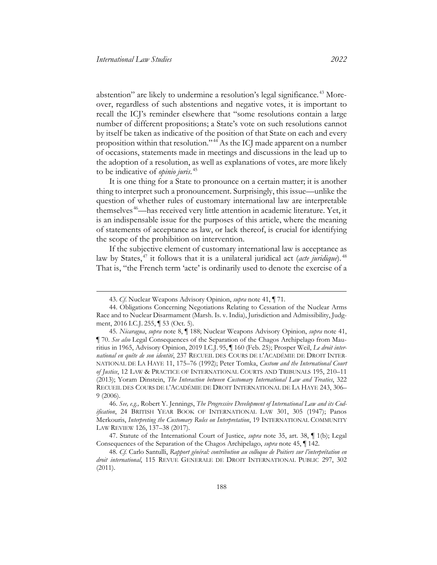abstention" are likely to undermine a resolution's legal significance. [43](#page-9-1) Moreover, regardless of such abstentions and negative votes, it is important to recall the ICJ's reminder elsewhere that "some resolutions contain a large number of different propositions; a State's vote on such resolutions cannot by itself be taken as indicative of the position of that State on each and every proposition within that resolution."<sup>[44](#page-9-2)</sup> As the ICJ made apparent on a number of occasions, statements made in meetings and discussions in the lead up to the adoption of a resolution, as well as explanations of votes, are more likely to be indicative of *opinio juris*. [45](#page-9-3)

<span id="page-9-7"></span><span id="page-9-0"></span>It is one thing for a State to pronounce on a certain matter; it is another thing to interpret such a pronouncement. Surprisingly, this issue—unlike the question of whether rules of customary international law are interpretable themselves [46—](#page-9-4)has received very little attention in academic literature. Yet, it is an indispensable issue for the purposes of this article, where the meaning of statements of acceptance as law, or lack thereof, is crucial for identifying the scope of the prohibition on intervention.

If the subjective element of customary international law is acceptance as law by States,<sup>[47](#page-9-5)</sup> it follows that it is a unilateral juridical act (*acte juridique*).<sup>[48](#page-9-6)</sup> That is, "the French term 'acte' is ordinarily used to denote the exercise of a

<span id="page-9-8"></span><sup>43.</sup> *Cf*. Nuclear Weapons Advisory Opinion, *supra* note [41,](#page-8-8) ¶ 71.

<span id="page-9-2"></span><span id="page-9-1"></span><sup>44.</sup> Obligations Concerning Negotiations Relating to Cessation of the Nuclear Arms Race and to Nuclear Disarmament (Marsh. Is. v. India), Jurisdiction and Admissibility, Judgment, 2016 I.C.J. 255, ¶ 53 (Oct. 5).

<span id="page-9-3"></span><sup>45.</sup> *Nicaragua*, *supra* note [8,](#page-3-7) ¶ 188; Nuclear Weapons Advisory Opinion, *supra* note [41,](#page-8-8)  ¶ 70. *See also* Legal Consequences of the Separation of the Chagos Archipelago from Mauritius in 1965, Advisory Opinion, 2019 I.C.J. 95, ¶ 160 (Feb. 25); Prosper Weil, *Le droit international en quête de son identité*, 237 RECUEIL DES COURS DE L'ACADÉMIE DE DROIT INTER-NATIONAL DE LA HAYE 11, 175–76 (1992); Peter Tomka, *Custom and the International Court of Justice*, 12 LAW & PRACTICE OF INTERNATIONAL COURTS AND TRIBUNALS 195, 210–11 (2013); Yoram Dinstein, *The Interaction between Customary International Law and Treaties*, 322 RECUEIL DES COURS DE L'ACADÉMIE DE DROIT INTERNATIONAL DE LA HAYE 243, 306– 9 (2006).

<span id="page-9-4"></span><sup>46.</sup> *See, e.g.,* Robert Y. Jennings, *The Progressive Development of International Law and its Codification*, 24 BRITISH YEAR BOOK OF INTERNATIONAL LAW 301, 305 (1947); Panos Merkouris, *Interpreting the Customary Rules on Interpretation*, 19 INTERNATIONAL COMMUNITY LAW REVIEW 126, 137–38 (2017).

<span id="page-9-5"></span><sup>47.</sup> Statute of the International Court of Justice, *supra* note [35,](#page-7-7) art. 38, ¶ 1(b); Legal Consequences of the Separation of the Chagos Archipelago, *supra* note [45,](#page-9-0) ¶ 142.

<span id="page-9-6"></span><sup>48.</sup> *Cf.* Carlo Santulli, *Rapport général: contribution au colloque de Poitiers sur l'interprétation en droit international*, 115 REVUE GENERALE DE DROIT INTERNATIONAL PUBLIC 297, 302 (2011).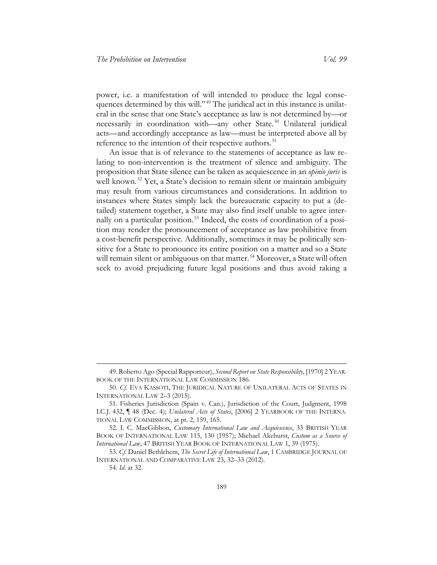power, i.e. a manifestation of will intended to produce the legal conse-quences determined by this will."<sup>[49](#page-10-0)</sup> The juridical act in this instance is unilateral in the sense that one State's acceptance as law is not determined by—or necessarily in coordination with—any other State.<sup>[50](#page-10-1)</sup> Unilateral juridical acts—and accordingly acceptance as law—must be interpreted above all by reference to the intention of their respective authors.<sup>[51](#page-10-2)</sup>

<span id="page-10-6"></span>An issue that is of relevance to the statements of acceptance as law relating to non-intervention is the treatment of silence and ambiguity. The proposition that State silence can be taken as acquiescence in an *opinio juris* is well known.<sup>[52](#page-10-3)</sup> Yet, a State's decision to remain silent or maintain ambiguity may result from various circumstances and considerations. In addition to instances where States simply lack the bureaucratic capacity to put a (detailed) statement together, a State may also find itself unable to agree internally on a particular position. [53](#page-10-4) Indeed, the costs of coordination of a position may render the pronouncement of acceptance as law prohibitive from a cost-benefit perspective. Additionally, sometimes it may be politically sensitive for a State to pronounce its entire position on a matter and so a State will remain silent or ambiguous on that matter.<sup>[54](#page-10-5)</sup> Moreover, a State will often seek to avoid prejudicing future legal positions and thus avoid taking a

<span id="page-10-0"></span><sup>49.</sup> Roberto Ago (Special Rapporteur), *Second Report on State Responsibility*, [1970] 2 YEAR-BOOK OF THE INTERNATIONAL LAW COMMISSION 186.

<span id="page-10-1"></span><sup>50.</sup> *Cf*. EVA KASSOTI, THE JURIDICAL NATURE OF UNILATERAL ACTS OF STATES IN INTERNATIONAL LAW 2–3 (2015).

<span id="page-10-2"></span><sup>51.</sup> Fisheries Jurisdiction (Spain v. Can.), Jurisdiction of the Court, Judgment, 1998 I.C.J. 432, ¶ 48 (Dec. 4); *Unilateral Acts of States*, [2006] 2 YEARBOOK OF THE INTERNA-TIONAL LAW COMMISSION, at pt. 2, 159, 165.

<span id="page-10-3"></span><sup>52.</sup> I. C. MacGibbon, *Customary International Law and Acquiescence*, 33 BRITISH YEAR BOOK OF INTERNATIONAL LAW 115, 130 (1957); Michael Akehurst, *Custom as a Source of International Law*, 47 BRITISH YEAR BOOK OF INTERNATIONAL LAW 1, 39 (1975).

<span id="page-10-5"></span><span id="page-10-4"></span><sup>53.</sup> *Cf*. Daniel Bethlehem, *The Secret Life of International Law*, 1 CAMBRIDGE JOURNAL OF INTERNATIONAL AND COMPARATIVE LAW 23, 32–33 (2012).

<sup>54.</sup> *Id*. at 32.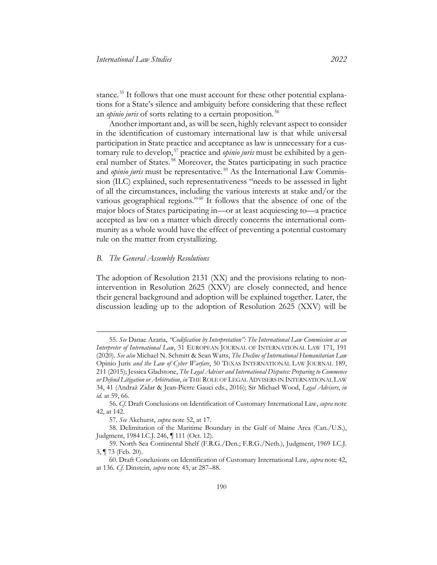<span id="page-11-7"></span>stance.<sup>[55](#page-11-1)</sup> It follows that one must account for these other potential explanations for a State's silence and ambiguity before considering that these reflect an *opinio juris* of sorts relating to a certain proposition. [56](#page-11-2)

Another important and, as will be seen, highly relevant aspect to consider in the identification of customary international law is that while universal participation in State practice and acceptance as law is unnecessary for a cus-tomary rule to develop,<sup>[57](#page-11-3)</sup> practice and *opinio juris* must be exhibited by a general number of States. [58](#page-11-4) Moreover, the States participating in such practice and *opinio juris* must be representative.<sup>[59](#page-11-5)</sup> As the International Law Commission (ILC) explained, such representativeness "needs to be assessed in light of all the circumstances, including the various interests at stake and/or the various geographical regions."<sup>[60](#page-11-6)</sup> It follows that the absence of one of the major blocs of States participating in—or at least acquiescing to—a practice accepted as law on a matter which directly concerns the international community as a whole would have the effect of preventing a potential customary rule on the matter from crystallizing.

#### <span id="page-11-0"></span>*B. The General Assembly Resolutions*

The adoption of Resolution 2131 (XX) and the provisions relating to nonintervention in Resolution 2625 (XXV) are closely connected, and hence their general background and adoption will be explained together. Later, the discussion leading up to the adoption of Resolution 2625 (XXV) will be

<span id="page-11-1"></span><sup>55.</sup> *See* Danae Azaria, *"Codification by Interpretation": The International Law Commission as an Interpreter of International Law*, 31 EUROPEAN JOURNAL OF INTERNATIONAL LAW 171, 191 (2020). *See also* Michael N. Schmitt & Sean Watts, *The Decline of International Humanitarian Law* Opinio Juris *and the Law of Cyber Warfare*, 50 TEXAS INTERNATIONAL LAW JOURNAL 189, 211 (2015); Jessica Gladstone, *The Legal Adviser and International Disputes: Preparing to Commence or Defend Litigation or Arbitration*, *in* THE ROLE OF LEGAL ADVISERS IN INTERNATIONAL LAW 34, 41 (Andraž Zidar & Jean-Pierre Gauci eds., 2016); Sir Michael Wood, *Legal Advisers*, *in id*. at 59, 66.

<span id="page-11-2"></span><sup>56.</sup> *Cf*. Draft Conclusions on Identification of Customary International Law, *supra* note [42,](#page-8-9) at 142.

<sup>57.</sup> *See* Akehurst, *supra* note [52,](#page-10-6) at 17.

<span id="page-11-4"></span><span id="page-11-3"></span><sup>58.</sup> Delimitation of the Maritime Boundary in the Gulf of Maine Area (Can./U.S.), Judgment, 1984 I.C.J. 246, ¶ 111 (Oct. 12).

<span id="page-11-5"></span><sup>59.</sup> North Sea Continental Shelf (F.R.G./Den.; F.R.G./Neth.), Judgment, 1969 I.C.J. 3, ¶ 73 (Feb. 20).

<span id="page-11-6"></span><sup>60.</sup> Draft Conclusions on Identification of Customary International Law, *supra* not[e 42,](#page-8-9) at 136. *Cf*. Dinstein, *supra* note [45,](#page-9-0) at 287–88.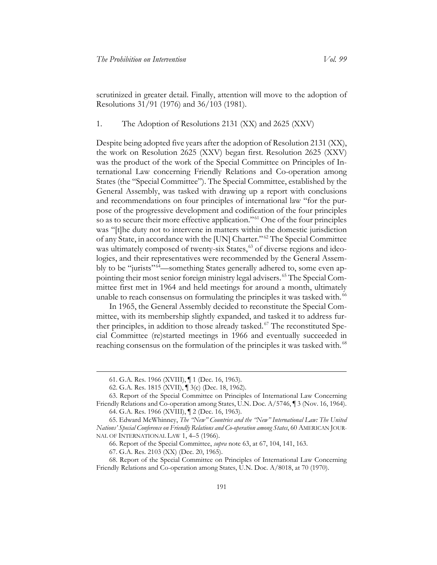scrutinized in greater detail. Finally, attention will move to the adoption of Resolutions 31/91 (1976) and 36/103 (1981).

1. The Adoption of Resolutions 2131 (XX) and 2625 (XXV)

Despite being adopted five years after the adoption of Resolution 2131 (XX), the work on Resolution 2625 (XXV) began first. Resolution 2625 (XXV) was the product of the work of the Special Committee on Principles of International Law concerning Friendly Relations and Co-operation among States (the "Special Committee"). The Special Committee, established by the General Assembly, was tasked with drawing up a report with conclusions and recommendations on four principles of international law "for the purpose of the progressive development and codification of the four principles so as to secure their more effective application."<sup>[61](#page-12-1)</sup> One of the four principles was "[t]he duty not to intervene in matters within the domestic jurisdiction of any State, in accordance with the [UN] Charter." [62](#page-12-2) The Special Committee was ultimately composed of twenty-six States,<sup>[63](#page-12-3)</sup> of diverse regions and ideologies, and their representatives were recommended by the General Assembly to be "jurists"<sup>64</sup>—something States generally adhered to, some even appointing their most senior foreign ministry legal advisers. [65](#page-12-5) The Special Committee first met in 1964 and held meetings for around a month, ultimately unable to reach consensus on formulating the principles it was tasked with.<sup>[66](#page-12-6)</sup>

<span id="page-12-9"></span><span id="page-12-0"></span>In 1965, the General Assembly decided to reconstitute the Special Committee, with its membership slightly expanded, and tasked it to address fur-ther principles, in addition to those already tasked.<sup>[67](#page-12-7)</sup> The reconstituted Special Committee (re)started meetings in 1966 and eventually succeeded in reaching consensus on the formulation of the principles it was tasked with.<sup>[68](#page-12-8)</sup>

<sup>61.</sup> G.A. Res. 1966 (XVIII), ¶ 1 (Dec. 16, 1963).

<sup>62.</sup> G.A. Res. 1815 (XVII), ¶ 3(c) (Dec. 18, 1962).

<span id="page-12-4"></span><span id="page-12-3"></span><span id="page-12-2"></span><span id="page-12-1"></span><sup>63.</sup> Report of the Special Committee on Principles of International Law Concerning Friendly Relations and Co-operation among States, U.N. Doc. A/5746, ¶ 3 (Nov. 16, 1964).

<sup>64.</sup> G.A. Res. 1966 (XVIII), ¶ 2 (Dec. 16, 1963).

<span id="page-12-5"></span><sup>65.</sup> Edward McWhinney, *The "New" Countries and the "New" International Law: The United Nations' Special Conference on Friendly Relations and Co-operation among States*, 60 AMERICAN JOUR-NAL OF INTERNATIONAL LAW 1, 4–5 (1966).

<sup>66.</sup> Report of the Special Committee, *supra* note [63,](#page-12-0) at 67, 104, 141, 163.

<sup>67.</sup> G.A. Res. 2103 (XX) (Dec. 20, 1965).

<span id="page-12-8"></span><span id="page-12-7"></span><span id="page-12-6"></span><sup>68.</sup> Report of the Special Committee on Principles of International Law Concerning Friendly Relations and Co-operation among States, U.N. Doc. A/8018, at 70 (1970).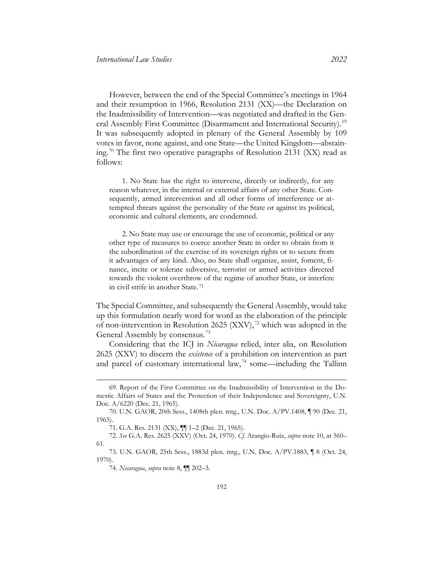However, between the end of the Special Committee's meetings in 1964 and their resumption in 1966, Resolution 2131 (XX)—the Declaration on the Inadmissibility of Intervention—was negotiated and drafted in the Gen-eral Assembly First Committee (Disarmament and International Security).<sup>[69](#page-13-0)</sup> It was subsequently adopted in plenary of the General Assembly by 109 votes in favor, none against, and one State—the United Kingdom—abstaining. [70](#page-13-1) The first two operative paragraphs of Resolution 2131 (XX) read as follows:

1. No State has the right to intervene, directly or indirectly, for any reason whatever, in the internal or external affairs of any other State. Consequently, armed intervention and all other forms of interference or attempted threats against the personality of the State or against its political, economic and cultural elements, are condemned.

<span id="page-13-6"></span>2. No State may use or encourage the use of economic, political or any other type of measures to coerce another State in order to obtain from it the subordination of the exercise of its sovereign rights or to secure from it advantages of any kind. Also, no State shall organize, assist, foment, finance, incite or tolerate subversive, terrorist or armed activities directed towards the violent overthrow of the regime of another State, or interfere in civil strife in another State. [71](#page-13-2)

The Special Committee, and subsequently the General Assembly, would take up this formulation nearly word for word as the elaboration of the principle of non-intervention in Resolution 2625  $(XXV),$ <sup>[72](#page-13-3)</sup> which was adopted in the General Assembly by consensus. [73](#page-13-4)

<span id="page-13-7"></span>Considering that the ICJ in *Nicaragua* relied, inter alia, on Resolution 2625 (XXV) to discern the *existence* of a prohibition on intervention as part and parcel of customary international law,  $74$  some—including the Tallinn

<span id="page-13-0"></span><sup>69.</sup> Report of the First Committee on the Inadmissibility of Intervention in the Domestic Affairs of States and the Protection of their Independence and Sovereignty, U.N. Doc. A/6220 (Dec. 21, 1965).

<span id="page-13-1"></span><sup>70.</sup> U.N. GAOR, 20th Sess., 1408th plen. mtg., U.N. Doc. A/PV.1408, ¶ 90 (Dec. 21, 1965).

<sup>71.</sup> G.A. Res. 2131 (XX), ¶¶ 1–2 (Dec. 21, 1965).

<span id="page-13-3"></span><span id="page-13-2"></span><sup>72.</sup> *See* G.A. Res. 2625 (XXV) (Oct. 24, 1970). *Cf*. Arangio-Ruiz, *supra* note [10,](#page-3-8) at 560– 61.

<span id="page-13-5"></span><span id="page-13-4"></span><sup>73.</sup> U.N. GAOR, 25th Sess., 1883d plen. mtg., U.N. Doc. A/PV.1883, ¶ 8 (Oct. 24, 1970).

<sup>74.</sup> *Nicaragua*, *supra* note [8,](#page-3-7) ¶¶ 202–3.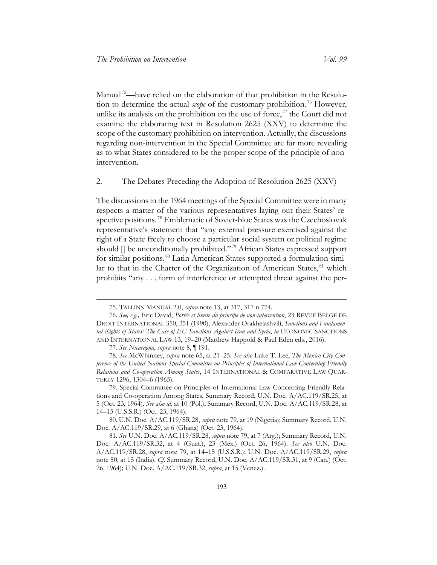Manual<sup>[75](#page-14-2)</sup>—have relied on the elaboration of that prohibition in the Resolution to determine the actual *scope* of the customary prohibition. [76](#page-14-3) However, unlike its analysis on the prohibition on the use of force,  $\frac{1}{1}$  the Court did not examine the elaborating text in Resolution 2625 (XXV) to determine the scope of the customary prohibition on intervention. Actually, the discussions regarding non-intervention in the Special Committee are far more revealing as to what States considered to be the proper scope of the principle of nonintervention.

2. The Debates Preceding the Adoption of Resolution 2625 (XXV)

The discussions in the 1964 meetings of the Special Committee were in many respects a matter of the various representatives laying out their States' respective positions. [78](#page-14-5) Emblematic of Soviet-bloc States was the Czechoslovak representative's statement that "any external pressure exercised against the right of a State freely to choose a particular social system or political regime should [] be unconditionally prohibited." [79](#page-14-6) African States expressed support for similar positions. [80](#page-14-7) Latin American States supported a formulation simi-lar to that in the Charter of the Organization of American States, <sup>[81](#page-14-8)</sup> which prohibits "any . . . form of interference or attempted threat against the per-

<span id="page-14-9"></span><span id="page-14-1"></span><span id="page-14-0"></span><sup>75.</sup> TALLINN MANUAL 2.0, *supra* note [13,](#page-4-6) at 317, 317 n.774.

<span id="page-14-3"></span><span id="page-14-2"></span><sup>76.</sup> *See, e.g.,* Eric David, *Portée et limite du principe de non-intervention*, 23 REVUE BELGE DE DROIT INTERNATIONAL 350, 351 (1990); Alexander Orakhelashvili, *Sanctions and Fundamental Rights of States: The Case of EU Sanctions Against Iran and Syria*, *in* ECONOMIC SANCTIONS AND INTERNATIONAL LAW 13, 19–20 (Matthew Happold & Paul Eden eds., 2016).

<sup>77.</sup> *See Nicaragua*, *supra* note [8,](#page-3-7) ¶ 191.

<span id="page-14-5"></span><span id="page-14-4"></span><sup>78.</sup> *See* McWhinney, *supra* note [65,](#page-12-9) at 21–25. *See also* Luke T. Lee, *The Mexico City Conference of the United Nations Special Committee on Principles of International Law Concerning Friendly Relations and Co-operation Among States*, 14 INTERNATIONAL & COMPARATIVE LAW QUAR-TERLY 1296, 1304–6 (1965).

<span id="page-14-6"></span><sup>79.</sup> Special Committee on Principles of International Law Concerning Friendly Relations and Co-operation Among States, Summary Record, U.N. Doc. A/AC.119/SR.25, at 5 (Oct. 23, 1964). *See also id.* at 10 (Pol.); Summary Record, U.N. Doc. A/AC.119/SR.28, at 14–15 (U.S.S.R.) (Oct. 23, 1964).

<span id="page-14-7"></span><sup>80.</sup> U.N. Doc. A/AC.119/SR.28, *supra* not[e 79,](#page-14-0) at 19 (Nigeria); Summary Record, U.N. Doc. A/AC.119/SR.29, at 6 (Ghana) (Oct. 23, 1964).

<span id="page-14-8"></span><sup>81.</sup> *See* U.N. Doc. A/AC.119/SR.28, *supra* note [79,](#page-14-0) at 7 (Arg.); Summary Record, U.N. Doc. A/AC.119/SR.32, at 4 (Guat.), 23 (Mex.) (Oct. 26, 1964). *See also* U.N. Doc. A/AC.119/SR.28, *supra* note [79,](#page-14-0) at 14–15 (U.S.S.R.); U.N. Doc. A/AC.119/SR.29, *supra*  note [80,](#page-14-1) at 15 (India). *Cf*. Summary Record, U.N. Doc. A/AC.119/SR.31, at 9 (Can.) (Oct. 26, 1964); U.N. Doc. A/AC.119/SR.32, *supra*, at 15 (Venez.).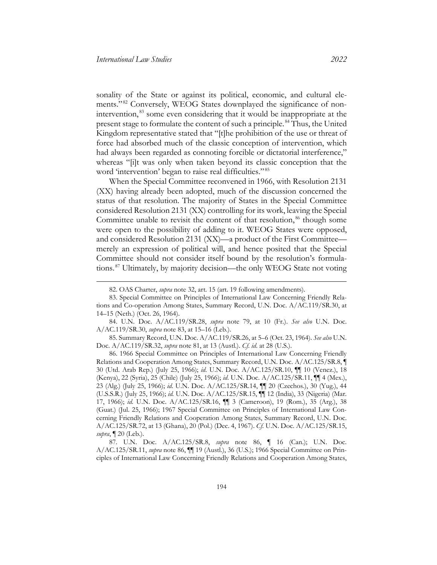<span id="page-15-0"></span>sonality of the State or against its political, economic, and cultural ele-ments."<sup>[82](#page-15-2)</sup> Conversely, WEOG States downplayed the significance of nonintervention, [83](#page-15-3) some even considering that it would be inappropriate at the present stage to formulate the content of such a principle. [84](#page-15-4) Thus, the United Kingdom representative stated that "[t]he prohibition of the use or threat of force had absorbed much of the classic conception of intervention, which had always been regarded as connoting forcible or dictatorial interference," whereas "[i]t was only when taken beyond its classic conception that the word 'intervention' began to raise real difficulties."<sup>[85](#page-15-5)</sup>

When the Special Committee reconvened in 1966, with Resolution 2131 (XX) having already been adopted, much of the discussion concerned the status of that resolution. The majority of States in the Special Committee considered Resolution 2131 (XX) controlling for its work, leaving the Special Committee unable to revisit the content of that resolution,<sup>[86](#page-15-6)</sup> though some were open to the possibility of adding to it. WEOG States were opposed, and considered Resolution 2131 (XX)—a product of the First Committee merely an expression of political will, and hence posited that the Special Committee should not consider itself bound by the resolution's formulations. [87](#page-15-7) Ultimately, by majority decision—the only WEOG State not voting

<span id="page-15-4"></span>84. U.N. Doc. A/AC.119/SR.28, *supra* note [79,](#page-14-0) at 10 (Fr.). *See also* U.N. Doc. A/AC.119/SR.30, *supra* note [83,](#page-15-0) at 15–16 (Leb.).

<span id="page-15-5"></span>85. Summary Record, U.N. Doc. A/AC.119/SR.26, at 5–6 (Oct. 23, 1964). *See also* U.N. Doc. A/AC.119/SR.32, *supra* not[e 81,](#page-14-9) at 13 (Austl.). *Cf*. *id*. at 28 (U.S.).

<span id="page-15-6"></span>86. 1966 Special Committee on Principles of International Law Concerning Friendly Relations and Cooperation Among States, Summary Record, U.N. Doc. A/AC.125/SR.8, ¶ 30 (Utd. Arab Rep.) (July 25, 1966); *id*. U.N. Doc. A/AC.125/SR.10, ¶¶ 10 (Venez.), 18 (Kenya), 22 (Syria), 25 (Chile) (July 25, 1966); *id*. U.N. Doc. A/AC.125/SR.11, ¶¶ 4 (Mex.), 23 (Alg.) (July 25, 1966); *id*. U.N. Doc. A/AC.125/SR.14, ¶¶ 20 (Czechos.), 30 (Yug.), 44 (U.S.S.R.) (July 25, 1966); *id.* U.N. Doc. A/AC.125/SR.15, ¶¶ 12 (India), 33 (Nigeria) (Mar. 17, 1966); *id.* U.N. Doc. A/AC.125/SR.16, ¶¶ 3 (Cameroon), 19 (Rom.), 35 (Arg.), 38 (Guat.) (Jul. 25, 1966); 1967 Special Committee on Principles of International Law Concerning Friendly Relations and Cooperation Among States, Summary Record, U.N. Doc. A/AC.125/SR.72, at 13 (Ghana), 20 (Pol.) (Dec. 4, 1967). *Cf*. U.N. Doc. A/AC.125/SR.15, *supra*, ¶ 20 (Leb.).

<span id="page-15-7"></span>87. U.N. Doc. A/AC.125/SR.8, *supra* note [86,](#page-15-1) ¶ 16 (Can.); U.N. Doc. A/AC.125/SR.11, *supra* note [86,](#page-15-1) ¶¶ 19 (Austl.), 36 (U.S.); 1966 Special Committee on Principles of International Law Concerning Friendly Relations and Cooperation Among States,

<span id="page-15-8"></span><span id="page-15-1"></span><sup>82.</sup> OAS Charter, *supra* note [32,](#page-7-8) art. 15 (art. 19 following amendments).

<span id="page-15-3"></span><span id="page-15-2"></span><sup>83.</sup> Special Committee on Principles of International Law Concerning Friendly Relations and Co-operation Among States, Summary Record, U.N. Doc. A/AC.119/SR.30, at 14–15 (Neth.) (Oct. 26, 1964).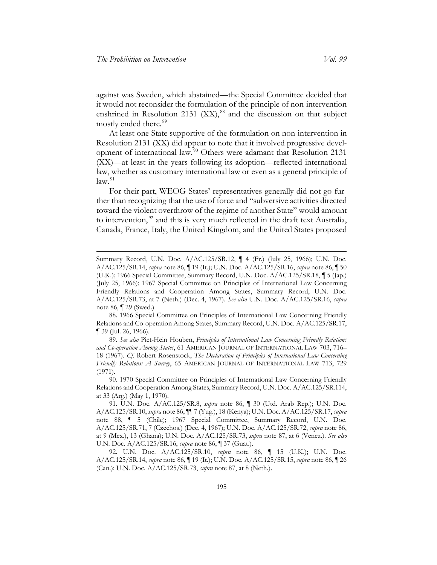<span id="page-16-0"></span>against was Sweden, which abstained—the Special Committee decided that it would not reconsider the formulation of the principle of non-intervention enshrined in Resolution 2131  $(XX)$ ,<sup>[88](#page-16-1)</sup> and the discussion on that subject mostly ended there. [89](#page-16-2)

<span id="page-16-6"></span>At least one State supportive of the formulation on non-intervention in Resolution 2131 (XX) did appear to note that it involved progressive development of international law. [90](#page-16-3) Others were adamant that Resolution 2131 (XX)—at least in the years following its adoption—reflected international law, whether as customary international law or even as a general principle of  $law.<sup>91</sup>$  $law.<sup>91</sup>$  $law.<sup>91</sup>$ 

<span id="page-16-7"></span>For their part, WEOG States' representatives generally did not go further than recognizing that the use of force and "subversive activities directed toward the violent overthrow of the regime of another State" would amount to intervention,<sup>[92](#page-16-5)</sup> and this is very much reflected in the draft text Australia, Canada, France, Italy, the United Kingdom, and the United States proposed

Summary Record, U.N. Doc. A/AC.125/SR.12, ¶ 4 (Fr.) (July 25, 1966); U.N. Doc. A/AC.125/SR.14, *supra* not[e 86,](#page-15-1) ¶ 19 (It.); U.N. Doc. A/AC.125/SR.16, *supra* note [86,](#page-15-1) ¶ 50 (U.K.); 1966 Special Committee, Summary Record, U.N. Doc. A/AC.125/SR.18, ¶ 5 (Jap.) (July 25, 1966); 1967 Special Committee on Principles of International Law Concerning Friendly Relations and Cooperation Among States, Summary Record, U.N. Doc. A/AC.125/SR.73, at 7 (Neth.) (Dec. 4, 1967). *See also* U.N. Doc. A/AC.125/SR.16, *supra*  note [86,](#page-15-1) ¶ 29 (Swed.)

<span id="page-16-1"></span><sup>88. 1966</sup> Special Committee on Principles of International Law Concerning Friendly Relations and Co-operation Among States, Summary Record, U.N. Doc. A/AC.125/SR.17, ¶ 39 (Jul. 26, 1966).

<span id="page-16-2"></span><sup>89.</sup> *See also* Piet-Hein Houben, *Principles of International Law Concerning Friendly Relations and Co-operation Among States*, 61 AMERICAN JOURNAL OF INTERNATIONAL LAW 703, 716– 18 (1967). *Cf*. Robert Rosenstock, *The Declaration of Principles of International Law Concerning Friendly Relations: A Survey*, 65 AMERICAN JOURNAL OF INTERNATIONAL LAW 713, 729 (1971).

<span id="page-16-3"></span><sup>90. 1970</sup> Special Committee on Principles of International Law Concerning Friendly Relations and Cooperation Among States, Summary Record, U.N. Doc. A/AC.125/SR.114, at 33 (Arg.) (May 1, 1970).

<span id="page-16-4"></span><sup>91.</sup> U.N. Doc. A/AC.125/SR.8, *supra* note [86,](#page-15-1) ¶ 30 (Utd. Arab Rep.); U.N. Doc. A/AC.125/SR.10, *supra* not[e 86,](#page-15-1) ¶¶ 7 (Yug.), 18 (Kenya); U.N. Doc. A/AC.125/SR.17, *supra*  note [88,](#page-16-0) ¶ 5 (Chile); 1967 Special Committee, Summary Record, U.N. Doc. A/AC.125/SR.71, 7 (Czechos.) (Dec. 4, 1967); U.N. Doc. A/AC.125/SR.72, *supra* note [86,](#page-15-1)  at 9 (Mex.), 13 (Ghana); U.N. Doc. A/AC.125/SR.73, *supra* note [87,](#page-15-8) at 6 (Venez.). *See also* U.N. Doc. A/AC.125/SR.16, *supra* note [86,](#page-15-1) ¶ 37 (Guat.).

<span id="page-16-5"></span><sup>92.</sup> U.N. Doc. A/AC.125/SR.10, *supra* note [86,](#page-15-1) ¶ 15 (U.K.); U.N. Doc. A/AC.125/SR.14, *supra* not[e 86,](#page-15-1) ¶ 19 (It.); U.N. Doc. A/AC.125/SR.15, *supra* note [86,](#page-15-1) ¶ 26 (Can.); U.N. Doc. A/AC.125/SR.73, *supra* note [87,](#page-15-8) at 8 (Neth.).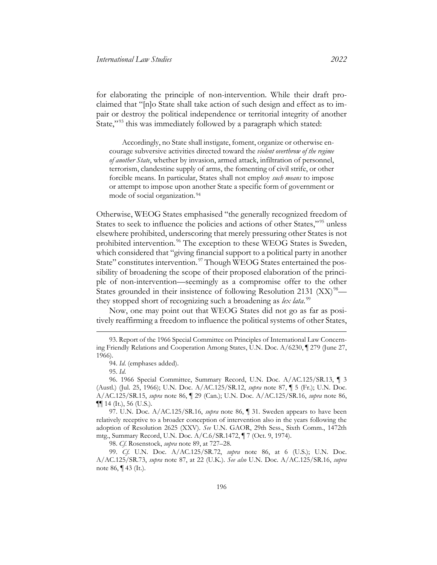for elaborating the principle of non-intervention. While their draft proclaimed that "[n]o State shall take action of such design and effect as to impair or destroy the political independence or territorial integrity of another State,"<sup>[93](#page-17-0)</sup> this was immediately followed by a paragraph which stated:

<span id="page-17-7"></span>Accordingly, no State shall instigate, foment, organize or otherwise encourage subversive activities directed toward the *violent overthrow of the regime of another State*, whether by invasion, armed attack, infiltration of personnel, terrorism, clandestine supply of arms, the fomenting of civil strife, or other forcible means. In particular, States shall not employ *such means* to impose or attempt to impose upon another State a specific form of government or mode of social organization. [94](#page-17-1)

<span id="page-17-8"></span>Otherwise, WEOG States emphasised "the generally recognized freedom of States to seek to influence the policies and actions of other States,"<sup>[95](#page-17-2)</sup> unless elsewhere prohibited, underscoring that merely pressuring other States is not prohibited intervention. [96](#page-17-3) The exception to these WEOG States is Sweden, which considered that "giving financial support to a political party in another State" constitutes intervention.<sup>[97](#page-17-4)</sup> Though WEOG States entertained the possibility of broadening the scope of their proposed elaboration of the principle of non-intervention—seemingly as a compromise offer to the other States grounded in their insistence of following Resolution 2131  $(XX)^{98}$  they stopped short of recognizing such a broadening as *lex lata*. [99](#page-17-6)

Now, one may point out that WEOG States did not go as far as positively reaffirming a freedom to influence the political systems of other States,

<span id="page-17-0"></span><sup>93.</sup> Report of the 1966 Special Committee on Principles of International Law Concerning Friendly Relations and Cooperation Among States, U.N. Doc. A/6230, ¶ 279 (June 27, 1966).

<sup>94.</sup> *Id*. (emphases added).

<sup>95.</sup> *Id*.

<span id="page-17-3"></span><span id="page-17-2"></span><span id="page-17-1"></span><sup>96. 1966</sup> Special Committee, Summary Record, U.N. Doc. A/AC.125/SR.13, ¶ 3 (Austl.) (Jul. 25, 1966); U.N. Doc. A/AC.125/SR.12, *supra* note [87,](#page-15-8) ¶ 5 (Fr.); U.N. Doc. A/AC.125/SR.15, *supra* note [86,](#page-15-1) ¶ 29 (Can.); U.N. Doc. A/AC.125/SR.16, *supra* note [86,](#page-15-1)  $\P\P$  14 (It.), 56 (U.S.).

<span id="page-17-4"></span><sup>97.</sup> U.N. Doc. A/AC.125/SR.16, *supra* note [86,](#page-15-1) ¶ 31. Sweden appears to have been relatively receptive to a broader conception of intervention also in the years following the adoption of Resolution 2625 (XXV). *See* U.N. GAOR, 29th Sess., Sixth Comm., 1472th mtg., Summary Record, U.N. Doc. A/C.6/SR.1472, ¶ 7 (Oct. 9, 1974).

<sup>98.</sup> *Cf*. Rosenstock, *supra* note [89,](#page-16-6) at 727–28.

<span id="page-17-6"></span><span id="page-17-5"></span><sup>99.</sup> *Cf*. U.N. Doc. A/AC.125/SR.72, *supra* note [86,](#page-15-1) at 6 (U.S.); U.N. Doc. A/AC.125/SR.73, *supra* note [87,](#page-15-8) at 22 (U.K.). *See also* U.N. Doc. A/AC.125/SR.16, *supra*  note [86,](#page-15-1) ¶ 43 (It.).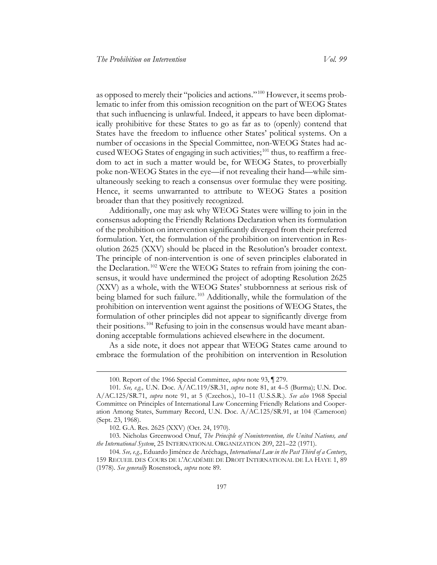as opposed to merely their "policies and actions." [100](#page-18-0) However, it seems problematic to infer from this omission recognition on the part of WEOG States that such influencing is unlawful. Indeed, it appears to have been diplomatically prohibitive for these States to go as far as to (openly) contend that States have the freedom to influence other States' political systems. On a number of occasions in the Special Committee, non-WEOG States had accused WEOG States of engaging in such activities; $^{101}$  $^{101}$  $^{101}$  thus, to reaffirm a freedom to act in such a matter would be, for WEOG States, to proverbially poke non-WEOG States in the eye—if not revealing their hand—while simultaneously seeking to reach a consensus over formulae they were positing. Hence, it seems unwarranted to attribute to WEOG States a position broader than that they positively recognized.

Additionally, one may ask why WEOG States were willing to join in the consensus adopting the Friendly Relations Declaration when its formulation of the prohibition on intervention significantly diverged from their preferred formulation. Yet, the formulation of the prohibition on intervention in Resolution 2625 (XXV) should be placed in the Resolution's broader context. The principle of non-intervention is one of seven principles elaborated in the Declaration.<sup>[102](#page-18-2)</sup> Were the WEOG States to refrain from joining the consensus, it would have undermined the project of adopting Resolution 2625 (XXV) as a whole, with the WEOG States' stubbornness at serious risk of being blamed for such failure.<sup>[103](#page-18-3)</sup> Additionally, while the formulation of the prohibition on intervention went against the positions of WEOG States, the formulation of other principles did not appear to significantly diverge from their positions. [104](#page-18-4) Refusing to join in the consensus would have meant abandoning acceptable formulations achieved elsewhere in the document.

As a side note, it does not appear that WEOG States came around to embrace the formulation of the prohibition on intervention in Resolution

<sup>100.</sup> Report of the 1966 Special Committee, *supra* note [93,](#page-17-7) ¶ 279.

<span id="page-18-1"></span><span id="page-18-0"></span><sup>101</sup>*. See, e.g.,* U.N. Doc. A/AC.119/SR.31, *supra* note [81,](#page-14-9) at 4–5 (Burma); U.N. Doc. A/AC.125/SR.71, *supra* note [91,](#page-16-7) at 5 (Czechos.), 10–11 (U.S.S.R.). *See also* 1968 Special Committee on Principles of International Law Concerning Friendly Relations and Cooperation Among States, Summary Record, U.N. Doc. A/AC.125/SR.91, at 104 (Cameroon) (Sept. 23, 1968).

<sup>102.</sup> G.A. Res. 2625 (XXV) (Oct. 24, 1970).

<span id="page-18-3"></span><span id="page-18-2"></span><sup>103.</sup> Nicholas Greenwood Onuf, *The Principle of Nonintervention, the United Nations, and the International System*, 25 INTERNATIONAL ORGANIZATION 209, 221–22 (1971).

<span id="page-18-4"></span><sup>104</sup>*. See, e.g.,* Eduardo Jiménez de Aréchaga, *International Law in the Past Third of a Century*, 159 RECUEIL DES COURS DE L'ACADÉMIE DE DROIT INTERNATIONAL DE LA HAYE 1, 89 (1978). *See generally* Rosenstock, *supra* note [89.](#page-16-6)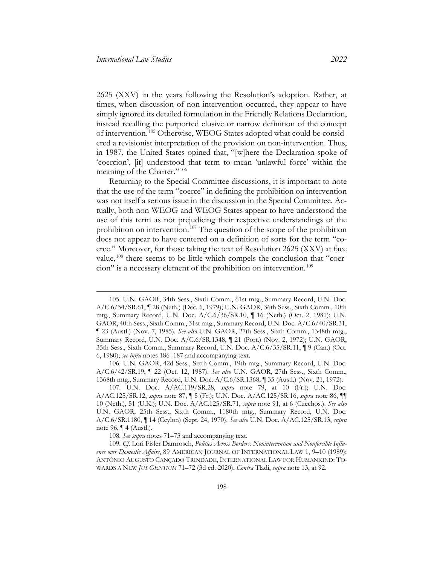2625 (XXV) in the years following the Resolution's adoption. Rather, at times, when discussion of non-intervention occurred, they appear to have simply ignored its detailed formulation in the Friendly Relations Declaration, instead recalling the purported elusive or narrow definition of the concept of intervention. [105](#page-19-0) Otherwise, WEOG States adopted what could be considered a revisionist interpretation of the provision on non-intervention. Thus, in 1987, the United States opined that, "[w]here the Declaration spoke of 'coercion', [it] understood that term to mean 'unlawful force' within the meaning of the Charter."<sup>[106](#page-19-1)</sup>

<span id="page-19-5"></span>Returning to the Special Committee discussions, it is important to note that the use of the term "coerce" in defining the prohibition on intervention was not itself a serious issue in the discussion in the Special Committee. Actually, both non-WEOG and WEOG States appear to have understood the use of this term as not prejudicing their respective understandings of the prohibition on intervention. [107](#page-19-2) The question of the scope of the prohibition does not appear to have centered on a definition of sorts for the term "coerce." Moreover, for those taking the text of Resolution 2625 (XXV) at face value,<sup>[108](#page-19-3)</sup> there seems to be little which compels the conclusion that "coercion" is a necessary element of the prohibition on intervention. [109](#page-19-4)

<span id="page-19-0"></span><sup>105.</sup> U.N. GAOR, 34th Sess., Sixth Comm., 61st mtg., Summary Record, U.N. Doc. A/C.6/34/SR.61, ¶ 28 (Neth.) (Dec. 6, 1979); U.N. GAOR, 36th Sess., Sixth Comm., 10th mtg., Summary Record, U.N. Doc. A/C.6/36/SR.10, ¶ 16 (Neth.) (Oct. 2, 1981); U.N. GAOR, 40th Sess., Sixth Comm., 31st mtg., Summary Record, U.N. Doc. A/C.6/40/SR.31, ¶ 23 (Austl.) (Nov. 7, 1985). *See also* U.N. GAOR, 27th Sess., Sixth Comm., 1348th mtg., Summary Record, U.N. Doc. A/C.6/SR.1348, ¶ 21 (Port.) (Nov. 2, 1972); U.N. GAOR, 35th Sess., Sixth Comm., Summary Record, U.N. Doc. A/C.6/35/SR.11, ¶ 9 (Can.) (Oct. 6, 1980); *see infra* note[s 186–](#page-33-0)[187](#page-33-1) and accompanying text.

<span id="page-19-1"></span><sup>106.</sup> U.N. GAOR, 42d Sess., Sixth Comm., 19th mtg., Summary Record, U.N. Doc. A/C.6/42/SR.19, ¶ 22 (Oct. 12, 1987). *See also* U.N. GAOR, 27th Sess., Sixth Comm., 1368th mtg., Summary Record, U.N. Doc. A/C.6/SR.1368, ¶ 35 (Austl.) (Nov. 21, 1972).

<span id="page-19-2"></span><sup>107.</sup> U.N. Doc. A/AC.119/SR.28, *supra* note [79,](#page-14-0) at 10 (Fr.); U.N. Doc. A/AC.125/SR.12, *supra* note [87,](#page-15-8) ¶ 5 (Fr.); U.N. Doc. A/AC.125/SR.16, *supra* note [86,](#page-15-1) ¶¶ 10 (Neth.), 51 (U.K.); U.N. Doc. A/AC.125/SR.71, *supra* note [91,](#page-16-7) at 6 (Czechos.). *See also* U.N. GAOR, 25th Sess., Sixth Comm., 1180th mtg., Summary Record, U.N. Doc. A/C.6/SR.1180, ¶ 14 (Ceylon) (Sept. 24, 1970). *See also* U.N. Doc. A/AC.125/SR.13, *supra*  note [96,](#page-17-8) ¶ 4 (Austl.).

<sup>108.</sup> *See supra* notes [71](#page-13-6)[–73](#page-13-7) and accompanying text.

<span id="page-19-4"></span><span id="page-19-3"></span><sup>109.</sup> *Cf*. Lori Fisler Damrosch, *Politics Across Borders: Nonintervention and Nonforcible Influence over Domestic Affairs*, 89 AMERICAN JOURNAL OF INTERNATIONAL LAW 1, 9–10 (1989); ANTÔNIO AUGUSTO CANÇADO TRINDADE, INTERNATIONAL LAW FOR HUMANKIND: TO-WARDS A NEW *JUS GENTIUM* 71–72 (3d ed. 2020). *Contra* Tladi, *supra* note [13,](#page-4-6) at 92.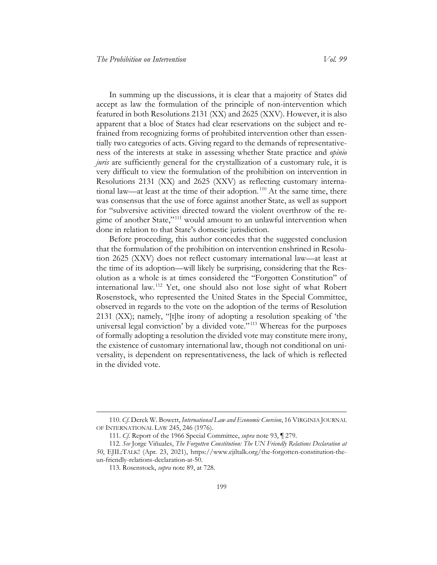In summing up the discussions, it is clear that a majority of States did accept as law the formulation of the principle of non-intervention which featured in both Resolutions 2131 (XX) and 2625 (XXV). However, it is also apparent that a bloc of States had clear reservations on the subject and refrained from recognizing forms of prohibited intervention other than essentially two categories of acts. Giving regard to the demands of representativeness of the interests at stake in assessing whether State practice and *opinio juris* are sufficiently general for the crystallization of a customary rule, it is very difficult to view the formulation of the prohibition on intervention in Resolutions 2131 (XX) and 2625 (XXV) as reflecting customary interna-tional law—at least at the time of their adoption.<sup>[110](#page-20-0)</sup> At the same time, there was consensus that the use of force against another State, as well as support for "subversive activities directed toward the violent overthrow of the re-gime of another State,"<sup>[111](#page-20-1)</sup> would amount to an unlawful intervention when done in relation to that State's domestic jurisdiction.

Before proceeding, this author concedes that the suggested conclusion that the formulation of the prohibition on intervention enshrined in Resolution 2625 (XXV) does not reflect customary international law—at least at the time of its adoption—will likely be surprising, considering that the Resolution as a whole is at times considered the "Forgotten Constitution" of international law. [112](#page-20-2) Yet, one should also not lose sight of what Robert Rosenstock, who represented the United States in the Special Committee, observed in regards to the vote on the adoption of the terms of Resolution 2131 (XX); namely, "[t]he irony of adopting a resolution speaking of 'the universal legal conviction' by a divided vote."<sup>[113](#page-20-3)</sup> Whereas for the purposes of formally adopting a resolution the divided vote may constitute mere irony, the existence of customary international law, though not conditional on universality, is dependent on representativeness, the lack of which is reflected in the divided vote.

<span id="page-20-0"></span><sup>110.</sup> *Cf*. Derek W. Bowett, *International Law and Economic Coercion*, 16 VIRGINIA JOURNAL OF INTERNATIONAL LAW 245, 246 (1976).

<sup>111.</sup> *Cf*. Report of the 1966 Special Committee, *supra* note [93,](#page-17-7) ¶ 279.

<span id="page-20-3"></span><span id="page-20-2"></span><span id="page-20-1"></span><sup>112</sup>*. See* Jorge Viñuales, *The Forgotten Constitution: The UN Friendly Relations Declaration at 50*, EJIL:TALK! (Apr. 23, 202[1\), https://www.ejiltalk.org/the-forgotten-constitution-the](file://data1/James.Crisfield.ctr$/msdata/Desktop/),%20https:/www.ejiltalk.org/the-forgotten-constitution-the-un-friendly-relations-declaration-at)[un-friendly-relations-declaration-at-](file://data1/James.Crisfield.ctr$/msdata/Desktop/),%20https:/www.ejiltalk.org/the-forgotten-constitution-the-un-friendly-relations-declaration-at)50.

<sup>113.</sup> Rosenstock, *supra* note [89,](#page-16-6) at 728.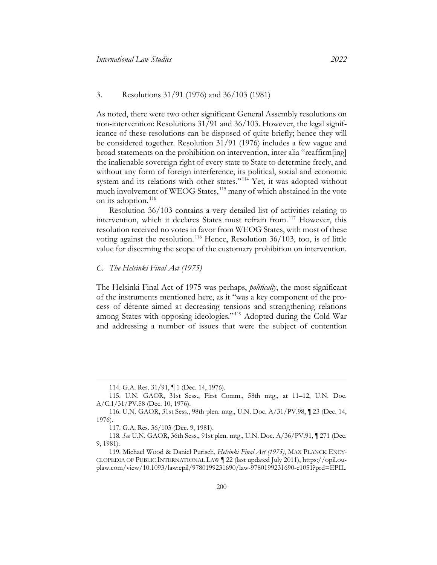#### 3. Resolutions 31/91 (1976) and 36/103 (1981)

As noted, there were two other significant General Assembly resolutions on non-intervention: Resolutions 31/91 and 36/103. However, the legal significance of these resolutions can be disposed of quite briefly; hence they will be considered together. Resolution 31/91 (1976) includes a few vague and broad statements on the prohibition on intervention, inter alia "reaffirm[ing] the inalienable sovereign right of every state to State to determine freely, and without any form of foreign interference, its political, social and economic system and its relations with other states."<sup>[114](#page-21-1)</sup> Yet, it was adopted without much involvement of WEOG States,<sup>[115](#page-21-2)</sup> many of which abstained in the vote on its adoption. [116](#page-21-3)

Resolution 36/103 contains a very detailed list of activities relating to intervention, which it declares States must refrain from. [117](#page-21-4) However, this resolution received no votes in favor from WEOG States, with most of these voting against the resolution. [118](#page-21-5) Hence, Resolution 36/103, too, is of little value for discerning the scope of the customary prohibition on intervention.

#### <span id="page-21-0"></span>*C. The Helsinki Final Act (1975)*

The Helsinki Final Act of 1975 was perhaps, *politically*, the most significant of the instruments mentioned here, as it "was a key component of the process of détente aimed at decreasing tensions and strengthening relations among States with opposing ideologies." [119](#page-21-6) Adopted during the Cold War and addressing a number of issues that were the subject of contention

<sup>114.</sup> G.A. Res. 31/91, ¶ 1 (Dec. 14, 1976).

<span id="page-21-2"></span><span id="page-21-1"></span><sup>115.</sup> U.N. GAOR, 31st Sess., First Comm., 58th mtg., at 11–12, U.N. Doc. A/C.1/31/PV.58 (Dec. 10, 1976).

<span id="page-21-3"></span><sup>116.</sup> U.N. GAOR, 31st Sess., 98th plen. mtg., U.N. Doc. A/31/PV.98, ¶ 23 (Dec. 14, 1976).

<sup>117.</sup> G.A. Res. 36/103 (Dec. 9, 1981).

<span id="page-21-5"></span><span id="page-21-4"></span><sup>118</sup>*. See* U.N. GAOR, 36th Sess., 91st plen. mtg., U.N. Doc. A/36/PV.91, ¶ 271 (Dec. 9, 1981).

<span id="page-21-6"></span><sup>119.</sup> Michael Wood & Daniel Purisch, *Helsinki Final Act (1975)*, MAX PLANCK ENCY-CLOPEDIA OF PUBLIC INTERNATIONAL LAW ¶ 22 (last updated July 2011), https://opil.ouplaw.com/view/10.1093/law:epil/9780199231690/law-9780199231690-e1051?prd=EPIL.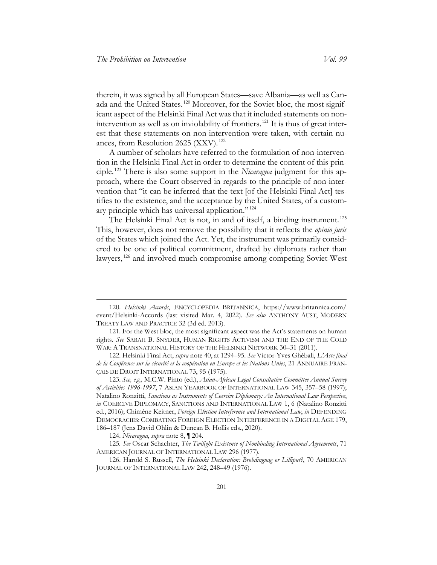therein, it was signed by all European States—save Albania—as well as Canada and the United States. [120](#page-22-0) Moreover, for the Soviet bloc, the most significant aspect of the Helsinki Final Act was that it included statements on nonintervention as well as on inviolability of frontiers. [121](#page-22-1) It is thus of great interest that these statements on non-intervention were taken, with certain nuances, from Resolution 2625 (XXV). [122](#page-22-2)

A number of scholars have referred to the formulation of non-intervention in the Helsinki Final Act in order to determine the content of this principle. [123](#page-22-3) There is also some support in the *Nicaragua* judgment for this approach, where the Court observed in regards to the principle of non-intervention that "it can be inferred that the text [of the Helsinki Final Act] testifies to the existence, and the acceptance by the United States, of a customary principle which has universal application." [124](#page-22-4)

The Helsinki Final Act is not, in and of itself, a binding instrument.<sup>[125](#page-22-5)</sup> This, however, does not remove the possibility that it reflects the *opinio juris* of the States which joined the Act. Yet, the instrument was primarily considered to be one of political commitment, drafted by diplomats rather than lawyers, [126](#page-22-6) and involved much compromise among competing Soviet-West

<span id="page-22-0"></span><sup>120.</sup> *Helsinki Accords*, ENCYCLOPEDIA BRITANNICA, https://www.britannica.com/ event/Helsinki-Accords (last visited Mar. 4, 2022). *See also* ANTHONY AUST, MODERN TREATY LAW AND PRACTICE 32 (3d ed. 2013).

<span id="page-22-1"></span><sup>121.</sup> For the West bloc, the most significant aspect was the Act's statements on human rights. *See* SARAH B. SNYDER, HUMAN RIGHTS ACTIVISM AND THE END OF THE COLD WAR: A TRANSNATIONAL HISTORY OF THE HELSINKI NETWORK 30–31 (2011).

<span id="page-22-2"></span><sup>122.</sup> Helsinki Final Act, *supra* note [40,](#page-8-10) at 1294–95. *See* Victor-Yves Ghébali, *L'Acte final de la Conférence sur la sécurité et la coopération en Europe et les Nations Unies*, 21 ANNUAIRE FRAN-ÇAIS DE DROIT INTERNATIONAL 73, 95 (1975).

<span id="page-22-3"></span><sup>123.</sup> *See, e.g.,* M.C.W. Pinto (ed.), *Asian-African Legal Consultative Committee Annual Survey of Activities 1996-1997*, 7 ASIAN YEARBOOK OF INTERNATIONAL LAW 345, 357–58 (1997); Natalino Ronzitti, *Sanctions as Instruments of Coercive Diplomacy: An International Law Perspective*, *in* COERCIVE DIPLOMACY, SANCTIONS AND INTERNATIONAL LAW 1, 6 (Natalino Ronzitti ed., 2016); Chimène Keitner, *Foreign Election Interference and International Law*, *in* DEFENDING DEMOCRACIES: COMBATING FOREIGN ELECTION INTERFERENCE IN A DIGITAL AGE 179, 186–187 (Jens David Ohlin & Duncan B. Hollis eds., 2020).

<sup>124.</sup> *Nicaragua*, *supra* not[e 8,](#page-3-7) ¶ 204.

<span id="page-22-5"></span><span id="page-22-4"></span><sup>125</sup>*. See* Oscar Schachter, *The Twilight Existence of Nonbinding International Agreements*, 71 AMERICAN JOURNAL OF INTERNATIONAL LAW 296 (1977).

<span id="page-22-6"></span><sup>126.</sup> Harold S. Russell, *The Helsinki Declaration: Brobdingnag or Lilliput?*, 70 AMERICAN JOURNAL OF INTERNATIONAL LAW 242, 248–49 (1976).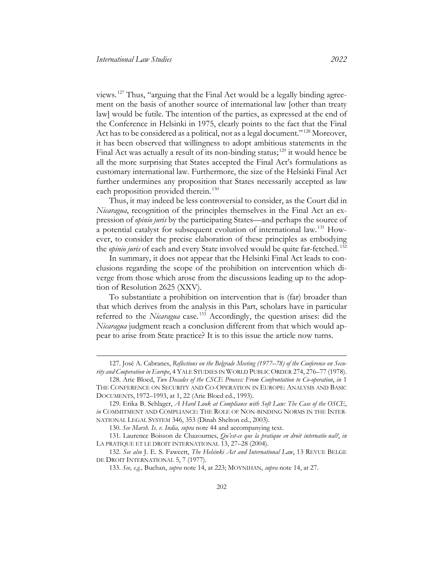views. [127](#page-23-0) Thus, "arguing that the Final Act would be a legally binding agreement on the basis of another source of international law [other than treaty law] would be futile. The intention of the parties, as expressed at the end of the Conference in Helsinki in 1975, clearly points to the fact that the Final Act has to be considered as a political, not as a legal document." [128](#page-23-1) Moreover, it has been observed that willingness to adopt ambitious statements in the Final Act was actually a result of its non-binding status;<sup>[129](#page-23-2)</sup> it would hence be all the more surprising that States accepted the Final Act's formulations as customary international law. Furthermore, the size of the Helsinki Final Act further undermines any proposition that States necessarily accepted as law each proposition provided therein.<sup>[130](#page-23-3)</sup>

Thus, it may indeed be less controversial to consider, as the Court did in *Nicaragua*, recognition of the principles themselves in the Final Act an expression of *opinio juris* by the participating States—and perhaps the source of a potential catalyst for subsequent evolution of international law. [131](#page-23-4) However, to consider the precise elaboration of these principles as embodying the *opinio juris* of each and every State involved would be quite far-fetched. [132](#page-23-5)

In summary, it does not appear that the Helsinki Final Act leads to conclusions regarding the scope of the prohibition on intervention which diverge from those which arose from the discussions leading up to the adoption of Resolution 2625 (XXV).

To substantiate a prohibition on intervention that is (far) broader than that which derives from the analysis in this Part, scholars have in particular referred to the *Nicaragua* case. [133](#page-23-6) Accordingly, the question arises: did the *Nicaragua* judgment reach a conclusion different from that which would appear to arise from State practice? It is to this issue the article now turns.

<span id="page-23-0"></span><sup>127.</sup> José A. Cabranes, *Reflections on the Belgrade Meeting (1977–78) of the Conference on Security and Cooperation in Europe*, 4 YALE STUDIES IN WORLD PUBLIC ORDER 274, 276–77 (1978).

<span id="page-23-1"></span><sup>128.</sup> Arie Bloed, *Two Decades of the CSCE Process: From Confrontation to Co-operation*, *in* 1 THE CONFERENCE ON SECURITY AND CO-OPERATION IN EUROPE: ANALYSIS AND BASIC DOCUMENTS, 1972–1993, at 1, 22 (Arie Bloed ed., 1993).

<span id="page-23-2"></span><sup>129.</sup> Erika B. Schlager, *A Hard Look at Compliance with Soft Law: The Case of the OSCE*, *in* COMMITMENT AND COMPLIANCE: THE ROLE OF NON-BINDING NORMS IN THE INTER-NATIONAL LEGAL SYSTEM 346, 353 (Dinah Shelton ed., 2003).

<sup>130.</sup> *See Marsh. Is. v. India, supra* note [44](#page-9-7) and accompanying text.

<span id="page-23-4"></span><span id="page-23-3"></span><sup>131.</sup> Laurence Boisson de Chazournes, *Qu'est-ce que la pratique en droit internatio nal?*, *in* LA PRATIQUE ET LE DROIT INTERNATIONAL 13, 27-28 (2004).

<span id="page-23-6"></span><span id="page-23-5"></span><sup>132.</sup> *See also* J. E. S. Fawcett, *The Helsinki Act and International Law*, 13 [REVUE BELGE](https://dialnet.unirioja.es/servlet/revista?codigo=11546)  [DE DROIT INTERNATIONAL](https://dialnet.unirioja.es/servlet/revista?codigo=11546) 5, 7 (1977).

<sup>133.</sup> *See, e.g.,* Buchan, *supra* note [14,](#page-4-7) at 223; MOYNIHAN, *supra* note [14,](#page-4-7) at 27.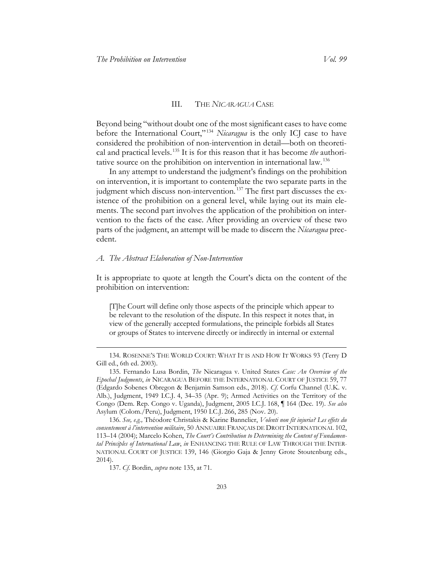#### <span id="page-24-2"></span>III. THE *NICARAGUA* CASE

<span id="page-24-0"></span>Beyond being "without doubt one of the most significant cases to have come before the International Court,"<sup>[134](#page-24-3)</sup> *Nicaragua* is the only ICJ case to have considered the prohibition of non-intervention in detail—both on theoretical and practical levels. [135](#page-24-4) It is for this reason that it has become *the* authoritative source on the prohibition on intervention in international law. [136](#page-24-5)

In any attempt to understand the judgment's findings on the prohibition on intervention, it is important to contemplate the two separate parts in the judgment which discuss non-intervention.<sup>[137](#page-24-6)</sup> The first part discusses the existence of the prohibition on a general level, while laying out its main elements. The second part involves the application of the prohibition on intervention to the facts of the case. After providing an overview of these two parts of the judgment, an attempt will be made to discern the *Nicaragua* precedent.

#### <span id="page-24-1"></span>*A. The Abstract Elaboration of Non-Intervention*

It is appropriate to quote at length the Court's dicta on the content of the prohibition on intervention:

[T]he Court will define only those aspects of the principle which appear to be relevant to the resolution of the dispute. In this respect it notes that, in view of the generally accepted formulations, the principle forbids all States or groups of States to intervene directly or indirectly in internal or external

<span id="page-24-3"></span><sup>134.</sup> ROSENNE'S THE WORLD COURT: WHAT IT IS AND HOW IT WORKS 93 (Terry D Gill ed., 6th ed. 2003).

<span id="page-24-4"></span><sup>135.</sup> Fernando Lusa Bordin, *The* Nicaragua v. United States *Case: An Overview of the Epochal Judgments*, *in* NICARAGUA BEFORE THE INTERNATIONAL COURT OF JUSTICE 59, 77 (Edgardo Sobenes Obregon & Benjamin Samson eds., 2018). *Cf*. Corfu Channel (U.K. v. Alb.), Judgment, 1949 I.C.J. 4, 34–35 (Apr. 9); Armed Activities on the Territory of the Congo (Dem. Rep. Congo v. Uganda), Judgment, 2005 I.C.J. 168, ¶ 164 (Dec. 19). *See also* Asylum (Colom./Peru), Judgment, 1950 I.C.J. 266, 285 (Nov. 20).

<span id="page-24-6"></span><span id="page-24-5"></span><sup>136.</sup> *See, e.g.,* Théodore Christakis & Karine Bannelier, *Volenti non fit injuria? Les effets du consentement à l'intervention militaire*, 50 ANNUAIRE FRANÇAIS DE DROIT INTERNATIONAL 102, 113–14 (2004); Marcelo Kohen, *The Court's Contribution to Determining the Content of Fundamental Principles of International Law*, *in* ENHANCING THE RULE OF LAW THROUGH THE INTER-NATIONAL COURT OF JUSTICE 139, 146 (Giorgio Gaja & Jenny Grote Stoutenburg eds., 2014).

<sup>137.</sup> *Cf*. Bordin, *supra* note [135,](#page-24-2) at 71.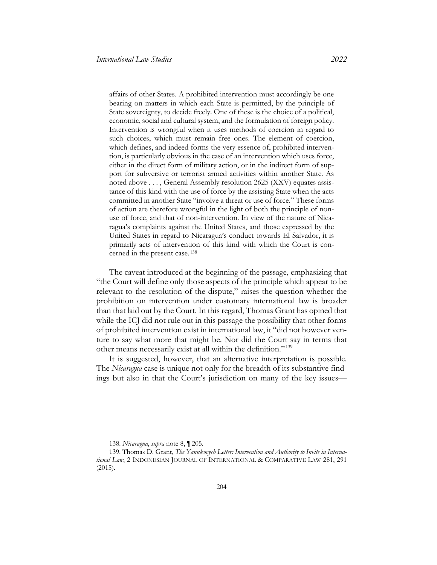affairs of other States. A prohibited intervention must accordingly be one bearing on matters in which each State is permitted, by the principle of State sovereignty, to decide freely. One of these is the choice of a political, economic, social and cultural system, and the formulation of foreign policy. Intervention is wrongful when it uses methods of coercion in regard to such choices, which must remain free ones. The element of coercion, which defines, and indeed forms the very essence of, prohibited intervention, is particularly obvious in the case of an intervention which uses force, either in the direct form of military action, or in the indirect form of support for subversive or terrorist armed activities within another State. As noted above . . . , General Assembly resolution 2625 (XXV) equates assistance of this kind with the use of force by the assisting State when the acts committed in another State "involve a threat or use of force." These forms of action are therefore wrongful in the light of both the principle of nonuse of force, and that of non-intervention. In view of the nature of Nicaragua's complaints against the United States, and those expressed by the United States in regard to Nicaragua's conduct towards El Salvador, it is primarily acts of intervention of this kind with which the Court is concerned in the present case. [138](#page-25-1)

<span id="page-25-0"></span>The caveat introduced at the beginning of the passage, emphasizing that "the Court will define only those aspects of the principle which appear to be relevant to the resolution of the dispute," raises the question whether the prohibition on intervention under customary international law is broader than that laid out by the Court. In this regard, Thomas Grant has opined that while the ICJ did not rule out in this passage the possibility that other forms of prohibited intervention exist in international law, it "did not however venture to say what more that might be. Nor did the Court say in terms that other means necessarily exist at all within the definition." [139](#page-25-2)

It is suggested, however, that an alternative interpretation is possible. The *Nicaragua* case is unique not only for the breadth of its substantive findings but also in that the Court's jurisdiction on many of the key issues—

204

<sup>138.</sup> *Nicaragua*, *supra* not[e 8,](#page-3-7) ¶ 205.

<span id="page-25-2"></span><span id="page-25-1"></span><sup>139.</sup> Thomas D. Grant, *The Yanukovych Letter: Intervention and Authority to Invite in International Law*, 2 INDONESIAN JOURNAL OF INTERNATIONAL & COMPARATIVE LAW 281, 291 (2015).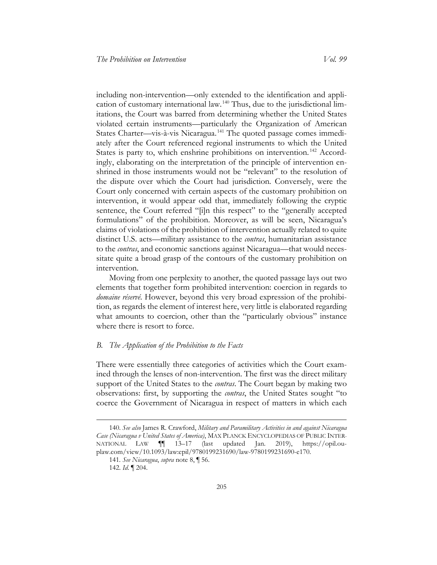including non-intervention—only extended to the identification and application of customary international law. [140](#page-26-1) Thus, due to the jurisdictional limitations, the Court was barred from determining whether the United States violated certain instruments—particularly the Organization of American States Charter—vis-à-vis Nicaragua. [141](#page-26-2) The quoted passage comes immediately after the Court referenced regional instruments to which the United States is party to, which enshrine prohibitions on intervention.<sup>[142](#page-26-3)</sup> Accordingly, elaborating on the interpretation of the principle of intervention enshrined in those instruments would not be "relevant" to the resolution of the dispute over which the Court had jurisdiction. Conversely, were the Court only concerned with certain aspects of the customary prohibition on intervention, it would appear odd that, immediately following the cryptic sentence, the Court referred "[i]n this respect" to the "generally accepted formulations" of the prohibition. Moreover, as will be seen, Nicaragua's claims of violations of the prohibition of intervention actually related to quite distinct U.S. acts—military assistance to the *contras*, humanitarian assistance to the *contras*, and economic sanctions against Nicaragua—that would necessitate quite a broad grasp of the contours of the customary prohibition on intervention.

Moving from one perplexity to another, the quoted passage lays out two elements that together form prohibited intervention: coercion in regards to *domaine réservé*. However, beyond this very broad expression of the prohibition, as regards the element of interest here, very little is elaborated regarding what amounts to coercion, other than the "particularly obvious" instance where there is resort to force.

#### <span id="page-26-0"></span>*B. The Application of the Prohibition to the Facts*

There were essentially three categories of activities which the Court examined through the lenses of non-intervention. The first was the direct military support of the United States to the *contras*. The Court began by making two observations: first, by supporting the *contras*, the United States sought "to coerce the Government of Nicaragua in respect of matters in which each

<span id="page-26-3"></span><span id="page-26-2"></span><span id="page-26-1"></span><sup>140.</sup> *See also* James R. Crawford, *Military and Paramilitary Activities in and against Nicaragua Case (Nicaragua v United States of America)*, MAX PLANCK ENCYCLOPEDIAS OF PUBLIC INTER-NATIONAL LAW ¶¶ 13–17 (last updated Jan. 2019), https://opil.ouplaw.com/view/10.1093/law:epil/9780199231690/law-9780199231690-e170.

<sup>141</sup>*. See Nicaragua*, *supra* note [8,](#page-3-7) ¶ 56.

<sup>142.</sup> *Id*. ¶ 204.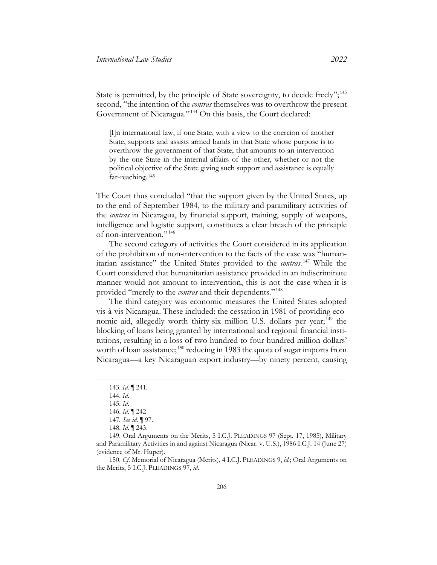State is permitted, by the principle of State sovereignty, to decide freely";<sup>[143](#page-27-0)</sup> second, "the intention of the *contras* themselves was to overthrow the present Government of Nicaragua." [144](#page-27-1) On this basis, the Court declared:

[I]n international law, if one State, with a view to the coercion of another State, supports and assists armed bands in that State whose purpose is to overthrow the government of that State, that amounts to an intervention by the one State in the internal affairs of the other, whether or not the political objective of the State giving such support and assistance is equally far-reaching. [145](#page-27-2)

The Court thus concluded "that the support given by the United States, up to the end of September 1984, to the military and paramilitary activities of the *contras* in Nicaragua, by financial support, training, supply of weapons, intelligence and logistic support, constitutes a clear breach of the principle of non-intervention." [146](#page-27-3)

The second category of activities the Court considered in its application of the prohibition of non-intervention to the facts of the case was "humanitarian assistance" the United States provided to the *contras*. [147](#page-27-4) While the Court considered that humanitarian assistance provided in an indiscriminate manner would not amount to intervention, this is not the case when it is provided "merely to the *contras* and their dependents." [148](#page-27-5)

The third category was economic measures the United States adopted vis-à-vis Nicaragua. These included: the cessation in 1981 of providing eco-nomic aid, allegedly worth thirty-six million U.S. dollars per year;<sup>[149](#page-27-6)</sup> the blocking of loans being granted by international and regional financial institutions, resulting in a loss of two hundred to four hundred million dollars' worth of loan assistance; <sup>[150](#page-27-7)</sup> reducing in 1983 the quota of sugar imports from Nicaragua—a key Nicaraguan export industry—by ninety percent, causing

<span id="page-27-7"></span>150. *Cf*. Memorial of Nicaragua (Merits), 4 I.C.J. PLEADINGS 9, *id.*; Oral Arguments on the Merits, 5 I.C.J. PLEADINGS 97, *id*.

<sup>143.</sup> *Id.* ¶ 241.

<span id="page-27-0"></span><sup>144.</sup> *Id*.

<sup>145.</sup> *Id*.

<sup>146.</sup> *Id*. ¶ 242

<sup>147</sup>*. See id*. ¶ 97.

<sup>148.</sup> *Id*. ¶ 243.

<span id="page-27-6"></span><span id="page-27-5"></span><span id="page-27-4"></span><span id="page-27-3"></span><span id="page-27-2"></span><span id="page-27-1"></span><sup>149.</sup> Oral Arguments on the Merits, 5 I.C.J. PLEADINGS 97 (Sept. 17, 1985), Military and Paramilitary Activities in and against Nicaragua (Nicar. v. U.S.), 1986 I.C.J. 14 (June 27) (evidence of Mr. Huper).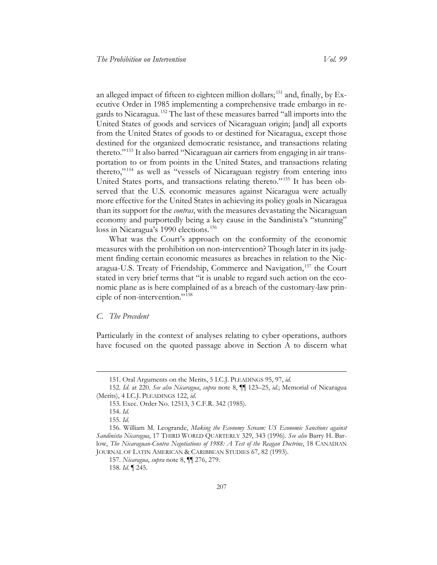an alleged impact of fifteen to eighteen million dollars;<sup>[151](#page-28-1)</sup> and, finally, by Executive Order in 1985 implementing a comprehensive trade embargo in regards to Nicaragua. [152](#page-28-2) The last of these measures barred "all imports into the United States of goods and services of Nicaraguan origin; [and] all exports from the United States of goods to or destined for Nicaragua, except those destined for the organized democratic resistance, and transactions relating thereto." [153](#page-28-3) It also barred "Nicaraguan air carriers from engaging in air transportation to or from points in the United States, and transactions relating thereto," [154](#page-28-4) as well as "vessels of Nicaraguan registry from entering into United States ports, and transactions relating thereto." [155](#page-28-5) It has been observed that the U.S. economic measures against Nicaragua were actually more effective for the United States in achieving its policy goals in Nicaragua than its support for the *contras*, with the measures devastating the Nicaraguan economy and purportedly being a key cause in the Sandinista's "stunning" loss in Nicaragua's 1990 elections.<sup>[156](#page-28-6)</sup>

<span id="page-28-9"></span>What was the Court's approach on the conformity of the economic measures with the prohibition on non-intervention? Though later in its judgment finding certain economic measures as breaches in relation to the Nicaragua-U.S. Treaty of Friendship, Commerce and Navigation, [157](#page-28-7) the Court stated in very brief terms that "it is unable to regard such action on the economic plane as is here complained of as a breach of the customary-law principle of non-intervention." [158](#page-28-8)

#### <span id="page-28-0"></span>*C. The Precedent*

Particularly in the context of analyses relating to cyber operations, authors have focused on the quoted passage above in Section A to discern what

<sup>151.</sup> Oral Arguments on the Merits, 5 I.C.J. PLEADINGS 95, 97, *id*.

<span id="page-28-3"></span><span id="page-28-2"></span><span id="page-28-1"></span><sup>152.</sup> *Id*. at 220. *See also Nicaragua*, *supra* note [8,](#page-3-7) ¶¶ 123–25, *id.*; Memorial of Nicaragua (Merits), 4 I.C.J. PLEADINGS 122, *id*.

<sup>153.</sup> Exec. Order No. 12513, 3 C.F.R. 342 (1985).

<sup>154.</sup> *Id*.

<sup>155.</sup> *Id*.

<span id="page-28-8"></span><span id="page-28-7"></span><span id="page-28-6"></span><span id="page-28-5"></span><span id="page-28-4"></span><sup>156.</sup> William M. Leogrande, *Making the Economy Scream: US Economic Sanctions against Sandinista Nicaragua*, 17 THIRD WORLD QUARTERLY 329, 343 (1996). *See also* Barry H. Barlow, *The Nicaraguan-Contra Negotiations of 1988: A Test of the Reagan Doctrine*, 18 CANADIAN JOURNAL OF LATIN AMERICAN & CARIBBEAN STUDIES 67, 82 (1993).

<sup>157.</sup> *Nicaragua*, *supra* not[e 8,](#page-3-7) ¶¶ 276, 279.

<sup>158.</sup> *Id*. ¶ 245.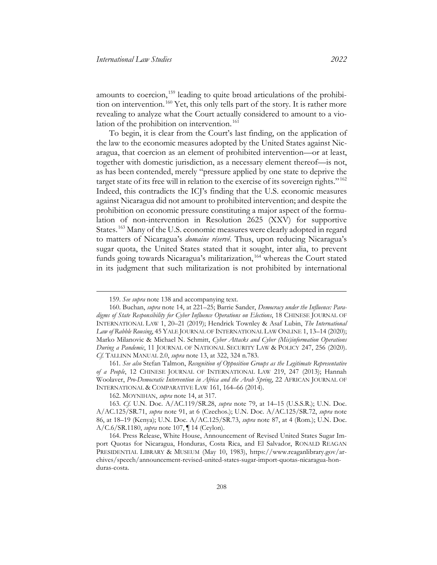amounts to coercion, [159](#page-29-0) leading to quite broad articulations of the prohibition on intervention. [160](#page-29-1) Yet, this only tells part of the story. It is rather more revealing to analyze what the Court actually considered to amount to a violation of the prohibition on intervention. [161](#page-29-2)

To begin, it is clear from the Court's last finding, on the application of the law to the economic measures adopted by the United States against Nicaragua, that coercion as an element of prohibited intervention—or at least, together with domestic jurisdiction, as a necessary element thereof—is not, as has been contended, merely "pressure applied by one state to deprive the target state of its free will in relation to the exercise of its sovereign rights." [162](#page-29-3) Indeed, this contradicts the ICJ's finding that the U.S. economic measures against Nicaragua did not amount to prohibited intervention; and despite the prohibition on economic pressure constituting a major aspect of the formulation of non-intervention in Resolution 2625 (XXV) for supportive States. [163](#page-29-4) Many of the U.S. economic measures were clearly adopted in regard to matters of Nicaragua's *domaine réservé*. Thus, upon reducing Nicaragua's sugar quota, the United States stated that it sought, inter alia, to prevent funds going towards Nicaragua's militarization,<sup>[164](#page-29-5)</sup> whereas the Court stated in its judgment that such militarization is not prohibited by international

<sup>159.</sup> *See supra* not[e 138](#page-25-0) and accompanying text.

<span id="page-29-1"></span><span id="page-29-0"></span><sup>160.</sup> Buchan, *supra* note [14,](#page-4-7) at 221–25; Barrie Sander, *Democracy under the Influence: Paradigms of State Responsibility for Cyber Influence Operations on Elections*, 18 CHINESE JOURNAL OF INTERNATIONAL LAW 1, 20–21 (2019); Hendrick Townley & Asaf Lubin, *The International Law of Rabble Rousing*, 45 YALE JOURNAL OF INTERNATIONAL LAW ONLINE 1, 13–14 (2020); Marko Milanovic & Michael N. Schmitt, *Cyber Attacks and Cyber (Mis)information Operations During a Pandemic*, 11 JOURNAL OF NATIONAL SECURITY LAW & POLICY 247, 256 (2020). *Cf.* TALLINN MANUAL 2.0, *supra* note [13,](#page-4-6) at 322, 324 n.783.

<span id="page-29-2"></span><sup>161</sup>*. See also* Stefan Talmon, *Recognition of Opposition Groups as the Legitimate Representative of a People*, 12 CHINESE JOURNAL OF INTERNATIONAL LAW 219, 247 (2013); Hannah Woolaver, *Pro-Democratic Intervention in Africa and the Arab Spring*, 22 AFRICAN JOURNAL OF INTERNATIONAL & COMPARATIVE LAW 161, 164–66 (2014).

<sup>162.</sup> MOYNIHAN, *supra* note [14,](#page-4-7) at 317.

<span id="page-29-4"></span><span id="page-29-3"></span><sup>163.</sup> *Cf*. U.N. Doc. A/AC.119/SR.28, *supra* note [79,](#page-14-0) at 14–15 (U.S.S.R.); U.N. Doc. A/AC.125/SR.71, *supra* note [91,](#page-16-7) at 6 (Czechos.); U.N. Doc. A/AC.125/SR.72, *supra* note [86,](#page-15-1) at 18–19 (Kenya); U.N. Doc. A/AC.125/SR.73, *supra* note [87,](#page-15-8) at 4 (Rom.); U.N. Doc. A/C.6/SR.1180, *supra* note [107,](#page-19-5) ¶ 14 (Ceylon).

<span id="page-29-5"></span><sup>164.</sup> Press Release, White House, Announcement of Revised United States Sugar Import Quotas for Nicaragua, Honduras, Costa Rica, and El Salvador, RONALD REAGAN PRESIDENTIAL LIBRARY & MUSEUM (May 10, 1983), https://www.reaganlibrary.gov/archives/speech/announcement-revised-united-states-sugar-import-quotas-nicaragua-honduras-costa.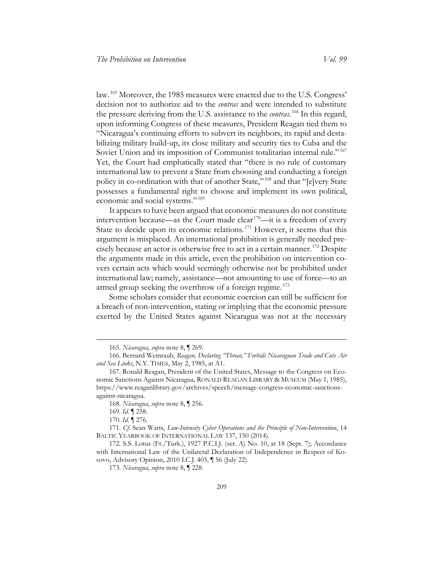law. [165](#page-30-0) Moreover, the 1985 measures were enacted due to the U.S. Congress' decision not to authorize aid to the *contras* and were intended to substitute the pressure deriving from the U.S. assistance to the *contras*. [166](#page-30-1) In this regard, upon informing Congress of these measures, President Reagan tied them to "Nicaragua's continuing efforts to subvert its neighbors, its rapid and destabilizing military build-up, its close military and security ties to Cuba and the Soviet Union and its imposition of Communist totalitarian internal rule."<sup>[167](#page-30-2)</sup> Yet, the Court had emphatically stated that "there is no rule of customary international law to prevent a State from choosing and conducting a foreign policy in co-ordination with that of another State," [168](#page-30-3) and that "[e]very State possesses a fundamental right to choose and implement its own political, economic and social systems." [169](#page-30-4)

<span id="page-30-9"></span>It appears to have been argued that economic measures do not constitute intervention because—as the Court made clear  $170$ —it is a freedom of every State to decide upon its economic relations.<sup>[171](#page-30-6)</sup> However, it seems that this argument is misplaced. An international prohibition is generally needed precisely because an actor is otherwise free to act in a certain manner. [172](#page-30-7) Despite the arguments made in this article, even the prohibition on intervention covers certain acts which would seemingly otherwise not be prohibited under international law; namely, assistance—not amounting to use of force—to an armed group seeking the overthrow of a foreign regime.<sup>[173](#page-30-8)</sup>

Some scholars consider that economic coercion can still be sufficient for a breach of non-intervention, stating or implying that the economic pressure exerted by the United States against Nicaragua was not at the necessary

<sup>165.</sup> *Nicaragua*, *supra* not[e 8,](#page-3-7) ¶ 269.

<span id="page-30-1"></span><span id="page-30-0"></span><sup>166.</sup> Bernard Weinraub, *Reagan, Declaring "Threat," Forbids Nicaraguan Trade and Cuts Air and Sea Links*, N.Y. TIMES, May 2, 1985, at A1.

<span id="page-30-2"></span><sup>167.</sup> Ronald Reagan, President of the United States, Message to the Congress on Economic Sanctions Against Nicaragua, RONALD REAGAN LIBRARY & MUSEUM (May 1, 1985), https://www.reaganlibrary.gov/archives/speech/message-congress-economic-sanctionsagainst-nicaragua.

<sup>168.</sup> *Nicaragua*, *supra* not[e 8,](#page-3-7) ¶ 256.

<sup>169.</sup> *Id*. ¶ 258.

<sup>170.</sup> *Id.* ¶ 276.

<span id="page-30-6"></span><span id="page-30-5"></span><span id="page-30-4"></span><span id="page-30-3"></span><sup>171.</sup> *Cf*. Sean Watts, *Low-Intensity Cyber Operations and the Principle of Non-Intervention*, 14 BALTIC YEARBOOK OF INTERNATIONAL LAW 137, 150 (2014).

<span id="page-30-8"></span><span id="page-30-7"></span><sup>172.</sup> S.S. Lotus (Fr./Turk.), 1927 P.C.I.J. (ser. A) No. 10, at 18 (Sept. 7); Accordance with International Law of the Unilateral Declaration of Independence in Respect of Kosovo, Advisory Opinion, 2010 I.C.J. 403, ¶ 56 (July 22).

<sup>173.</sup> *Nicaragua*, *supra* not[e 8,](#page-3-7) ¶ 228.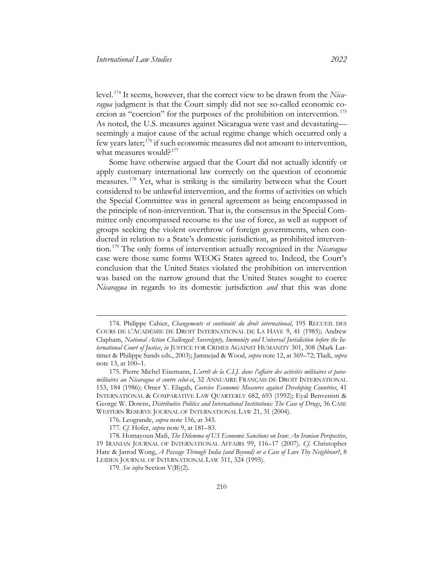level. [174](#page-31-0) It seems, however, that the correct view to be drawn from the *Nicaragua* judgment is that the Court simply did not see so-called economic coercion as "coercion" for the purposes of the prohibition on intervention. [175](#page-31-1) As noted, the U.S. measures against Nicaragua were vast and devastating seemingly a major cause of the actual regime change which occurred only a few years later; [176](#page-31-2) if such economic measures did not amount to intervention, what measures would?<sup>[177](#page-31-3)</sup>

Some have otherwise argued that the Court did not actually identify or apply customary international law correctly on the question of economic measures. [178](#page-31-4) Yet, what is striking is the similarity between what the Court considered to be unlawful intervention, and the forms of activities on which the Special Committee was in general agreement as being encompassed in the principle of non-intervention. That is, the consensus in the Special Committee only encompassed recourse to the use of force, as well as support of groups seeking the violent overthrow of foreign governments, when conducted in relation to a State's domestic jurisdiction, as prohibited intervention. [179](#page-31-5) The only forms of intervention actually recognized in the *Nicaragua* case were those same forms WEOG States agreed to. Indeed, the Court's conclusion that the United States violated the prohibition on intervention was based on the narrow ground that the United States sought to coerce *Nicaragua* in regards to its domestic jurisdiction *and* that this was done

<span id="page-31-0"></span><sup>174.</sup> Philippe Cahier, *Changements et continuité du droit international*, 195 RECUEIL DES COURS DE L'ACADÉMIE DE DROIT INTERNATIONAL DE LA HAYE 9, 41 (1985); Andrew Clapham, *National Action Challenged: Sovereignty, Immunity and Universal Jurisdiction before the International Court of Justice*, *in* JUSTICE FOR CRIMES AGAINST HUMANITY 301, 308 (Mark Lattimer & Philippe Sands eds., 2003); Jamnejad & Wood, *supra* not[e 12,](#page-4-5) at 369–72; Tladi, *supra*  note [13,](#page-4-6) at 100–1.

<span id="page-31-1"></span><sup>175.</sup> Pierre Michel Eisemann, *L'arrêt de la C.I.J. dans l'affaire des activités militaires et paramilitaires au Nicaragua et contre celui-ci*, 32 ANNUAIRE FRANÇAIS DE DROIT INTERNATIONAL 153, 184 (1986); Omer Y. Elagab, *Coercive Economic Measures against Developing Countries*, 41 INTERNATIONAL & COMPARATIVE LAW QUARTERLY 682, 693 (1992); Eyal Benvenisti & George W. Downs, *Distributive Politics and International Institutions: The Case of Drugs*, 36 CASE WESTERN RESERVE JOURNAL OF INTERNATIONAL LAW 21, 31 (2004).

<sup>176.</sup> Leogrande, *supra* note [156,](#page-28-9) at 343.

<sup>177.</sup> *Cf*. Hofer, *supra* note [9,](#page-3-6) at 181–83.

<span id="page-31-5"></span><span id="page-31-4"></span><span id="page-31-3"></span><span id="page-31-2"></span><sup>178.</sup> Homayoun Mafi, *The Dilemma of US Economic Sanctions on Iran: An Iranian Perspective*, 19 IRANIAN JOURNAL OF INTERNATIONAL AFFAIRS 99, 116–17 (2007). *Cf*. Christopher Hare & Jarrod Wong, *A Passage Through India (and Beyond) or a Case of Love Thy Neighbour?*, 8 LEIDEN JOURNAL OF INTERNATIONAL LAW 311, 324 (1995).

<sup>179.</sup> *See infra* Section V(B)(2).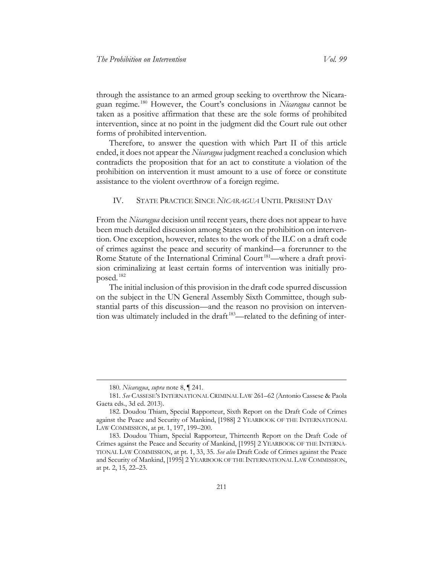through the assistance to an armed group seeking to overthrow the Nicaraguan regime. [180](#page-32-1) However, the Court's conclusions in *Nicaragua* cannot be taken as a positive affirmation that these are the sole forms of prohibited intervention, since at no point in the judgment did the Court rule out other forms of prohibited intervention.

Therefore, to answer the question with which Part II of this article ended, it does not appear the *Nicaragua* judgment reached a conclusion which contradicts the proposition that for an act to constitute a violation of the prohibition on intervention it must amount to a use of force or constitute assistance to the violent overthrow of a foreign regime.

<span id="page-32-0"></span>IV. STATE PRACTICE SINCE *NICARAGUA* UNTIL PRESENT DAY

From the *Nicaragua* decision until recent years, there does not appear to have been much detailed discussion among States on the prohibition on intervention. One exception, however, relates to the work of the ILC on a draft code of crimes against the peace and security of mankind—a forerunner to the Rome Statute of the International Criminal Court<sup>[181](#page-32-2)</sup>—where a draft provision criminalizing at least certain forms of intervention was initially proposed. [182](#page-32-3)

The initial inclusion of this provision in the draft code spurred discussion on the subject in the UN General Assembly Sixth Committee, though substantial parts of this discussion—and the reason no provision on intervention was ultimately included in the draft [183](#page-32-4)—related to the defining of inter-

<sup>180.</sup> *Nicaragua*, *supra* not[e 8,](#page-3-7) ¶ 241.

<span id="page-32-2"></span><span id="page-32-1"></span><sup>181</sup>*. See* CASSESE'S INTERNATIONAL CRIMINAL LAW 261–62 (Antonio Cassese & Paola Gaeta eds., 3d ed. 2013).

<span id="page-32-3"></span><sup>182.</sup> Doudou Thiam, Special Rapporteur, Sixth Report on the Draft Code of Crimes against the Peace and Security of Mankind, [1988] 2 YEARBOOK OF THE INTERNATIONAL LAW COMMISSION, at pt. 1, 197, 199–200.

<span id="page-32-4"></span><sup>183.</sup> Doudou Thiam, Special Rapporteur, Thirteenth Report on the Draft Code of Crimes against the Peace and Security of Mankind, [1995] 2 YEARBOOK OF THE INTERNA-TIONAL LAW COMMISSION, at pt. 1, 33, 35. *See also* Draft Code of Crimes against the Peace and Security of Mankind, [1995] 2 YEARBOOK OF THE INTERNATIONAL LAW COMMISSION, at pt. 2, 15, 22–23.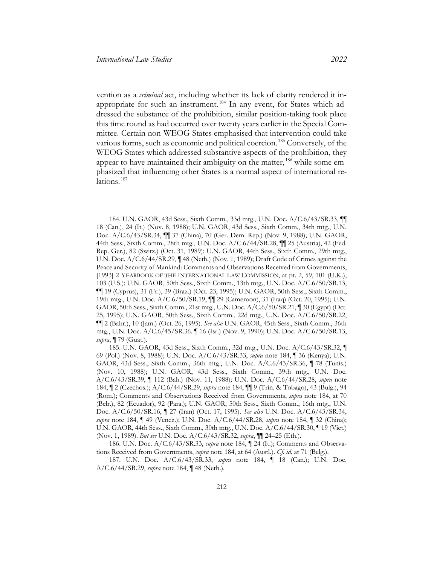<span id="page-33-7"></span><span id="page-33-2"></span>vention as a *criminal* act, including whether its lack of clarity rendered it inappropriate for such an instrument. [184](#page-33-3) In any event, for States which addressed the substance of the prohibition, similar position-taking took place this time round as had occurred over twenty years earlier in the Special Committee. Certain non-WEOG States emphasised that intervention could take various forms, such as economic and political coercion. [185](#page-33-4) Conversely, of the WEOG States which addressed substantive aspects of the prohibition, they appear to have maintained their ambiguity on the matter,<sup>[186](#page-33-5)</sup> while some emphasized that influencing other States is a normal aspect of international re-lations.<sup>[187](#page-33-6)</sup>

<span id="page-33-3"></span><span id="page-33-1"></span><span id="page-33-0"></span><sup>184.</sup> U.N. GAOR, 43d Sess., Sixth Comm., 33d mtg., U.N. Doc. A/C.6/43/SR.33, ¶¶ 18 (Can.), 24 (It.) (Nov. 8, 1988); U.N. GAOR, 43d Sess., Sixth Comm., 34th mtg., U.N. Doc. A/C.6/43/SR.34, ¶¶ 37 (China), 70 (Ger. Dem. Rep.) (Nov. 9, 1988); U.N. GAOR, 44th Sess., Sixth Comm., 28th mtg., U.N. Doc. A/C.6/44/SR.28, ¶¶ 25 (Austria), 42 (Fed. Rep. Ger.), 82 (Switz.) (Oct. 31, 1989); U.N. GAOR, 44th Sess., Sixth Comm., 29th mtg., U.N. Doc. A/C.6/44/SR.29, ¶ 48 (Neth.) (Nov. 1, 1989); Draft Code of Crimes against the Peace and Security of Mankind: Comments and Observations Received from Governments, [1993] 2 YEARBOOK OF THE INTERNATIONAL LAW COMMISSION, at pt. 2, 59, 101 (U.K.), 103 (U.S.); U.N. GAOR, 50th Sess., Sixth Comm., 13th mtg., U.N. Doc. A/C.6/50/SR.13, ¶¶ 19 (Cyprus), 31 (Fr.), 39 (Braz.) (Oct. 23, 1995); U.N. GAOR, 50th Sess., Sixth Comm., 19th mtg., U.N. Doc. A/C.6/50/SR.19, ¶¶ 29 (Cameroon), 31 (Iraq) (Oct. 20, 1995); U.N. GAOR, 50th Sess., Sixth Comm., 21st mtg., U.N. Doc. A/C.6/50/SR.21, ¶ 30 (Egypt) (Oct. 25, 1995); U.N. GAOR, 50th Sess., Sixth Comm., 22d mtg., U.N. Doc. A/C.6/50/SR.22, ¶¶ 2 (Bahr.), 10 (Jam.) (Oct. 26, 1995). *See also* U.N. GAOR, 45th Sess., Sixth Comm., 36th mtg., U.N. Doc. A/C.6/45/SR.36. ¶ 16 (Isr.) (Nov. 9, 1990); U.N. Doc. A/C.6/50/SR.13, *supra*, ¶ 79 (Guat.).

<span id="page-33-4"></span><sup>185.</sup> U.N. GAOR, 43d Sess., Sixth Comm., 32d mtg., U.N. Doc. A/C.6/43/SR.32, ¶ 69 (Pol.) (Nov. 8, 1988); U.N. Doc. A/C.6/43/SR.33, *supra* note [184,](#page-33-2) ¶ 36 (Kenya); U.N. GAOR, 43d Sess., Sixth Comm., 36th mtg., U.N. Doc. A/C.6/43/SR.36, ¶ 78 (Tunis.) (Nov. 10, 1988); U.N. GAOR, 43d Sess., Sixth Comm., 39th mtg., U.N. Doc. A/C.6/43/SR.39, ¶ 112 (Bah.) (Nov. 11, 1988); U.N. Doc. A/C.6/44/SR.28, *supra* note [184,](#page-33-2) ¶ 2 (Czechos.); A/C.6/44/SR.29, *supra* note [184,](#page-33-2) ¶¶ 9 (Trin. & Tobago), 43 (Bulg.), 94 (Rom.); Comments and Observations Received from Governments, *supra* note [184,](#page-33-2) at 70 (Belr.), 82 (Ecuador), 92 (Para.); U.N. GAOR, 50th Sess., Sixth Comm., 16th mtg., U.N. Doc. A/C.6/50/SR.16, ¶ 27 (Iran) (Oct. 17, 1995). *See also* U.N. Doc. A/C.6/43/SR.34, *supra* note [184,](#page-33-2) ¶ 49 (Venez.); U.N. Doc. A/C.6/44/SR.28, *supra* note [184,](#page-33-2) ¶ 32 (China); U.N. GAOR, 44th Sess., Sixth Comm., 30th mtg., U.N. Doc. A/C.6/44/SR.30, ¶ 19 (Viet.) (Nov. 1, 1989). *But see* U.N. Doc. A/C.6/43/SR.32, *supra*, ¶¶ 24–25 (Eth.).

<span id="page-33-5"></span><sup>186.</sup> U.N. Doc. A/C.6/43/SR.33, *supra* note [184,](#page-33-2) ¶ 24 (It.); Comments and Observations Received from Governments, *supra* note [184,](#page-33-2) at 64 (Austl.). *Cf*. *id*. at 71 (Belg.).

<span id="page-33-6"></span><sup>187.</sup> U.N. Doc. A/C.6/43/SR.33, *supra* note [184,](#page-33-2) ¶ 18 (Can.); U.N. Doc. A/C.6/44/SR.29, *supra* note [184,](#page-33-2) ¶ 48 (Neth.).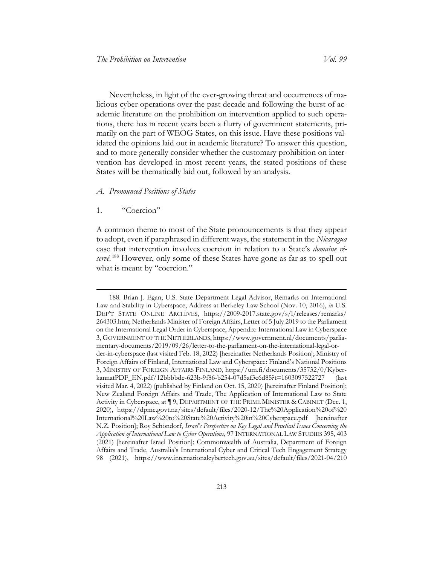Nevertheless, in light of the ever-growing threat and occurrences of malicious cyber operations over the past decade and following the burst of academic literature on the prohibition on intervention applied to such operations, there has in recent years been a flurry of government statements, primarily on the part of WEOG States, on this issue. Have these positions validated the opinions laid out in academic literature? To answer this question, and to more generally consider whether the customary prohibition on intervention has developed in most recent years, the stated positions of these States will be thematically laid out, followed by an analysis.

#### <span id="page-34-0"></span>*A. Pronounced Positions of States*

#### 1. "Coercion"

<span id="page-34-2"></span>A common theme to most of the State pronouncements is that they appear to adopt, even if paraphrased in different ways, the statement in the *Nicaragua* case that intervention involves coercion in relation to a State's *domaine réservé*. [188](#page-34-1) However, only some of these States have gone as far as to spell out what is meant by "coercion."

<span id="page-34-1"></span><sup>188.</sup> Brian J. Egan, U.S. State Department Legal Advisor, Remarks on International Law and Stability in Cyberspace, Address at Berkeley Law School (Nov. 10, 2016), *in* U.S. DEP'T STATE ONLINE ARCHIVES, [https://2009-2017.state.gov/s/l/releases/remarks/](https://2009-2017.state.gov/s/l/releases/remarks/264303.htm)  [264303.htm;](https://2009-2017.state.gov/s/l/releases/remarks/264303.htm) Netherlands Minister of Foreign Affairs, Letter of 5 July 2019 to the Parliament on the International Legal Order in Cyberspace, Appendix: International Law in Cyberspace 3, GOVERNMENT OF THE NETHERLANDS, https://www.government.nl/documents/parliamentary-documents/2019/09/26/letter-to-the-parliament-on-the-international-legal-order-in-cyberspace (last visited Feb. 18, 2022) [hereinafter Netherlands Position]; Ministry of Foreign Affairs of Finland, International Law and Cyberspace: Finland's National Positions 3, MINISTRY OF FOREIGN AFFAIRS FINLAND, https://um.fi/documents/35732/0/KyberkannatPDF\_EN.pdf/12bbbbde-623b-9f86-b254-07d5af3c6d85?t=1603097522727 (last visited Mar. 4, 2022) (published by Finland on Oct. 15, 2020) [hereinafter Finland Position]; New Zealand Foreign Affairs and Trade, The Application of International Law to State Activity in Cyberspace, at ¶ 9, DEPARTMENT OF THE PRIME MINISTER & CABINET (Dec. 1, 2020), [https://dpmc.govt.nz/sites/default/files/2020-12/The%20Application%20of%20](https://dpmc.govt.nz/sites/default/files/2020-12/The%20Application%20of%20International%20Law%20to%20State%20Activity%20in%20Cyberspace.pdf)  [International%20Law%20to%20State%20Activity%20in%20Cyberspace.pdf](https://dpmc.govt.nz/sites/default/files/2020-12/The%20Application%20of%20International%20Law%20to%20State%20Activity%20in%20Cyberspace.pdf) [hereinafter N.Z. Position]; Roy Schöndorf, *Israel's Perspective on Key Legal and Practical Issues Concerning the Application of International Law to Cyber Operations*, 97 INTERNATIONAL LAW STUDIES 395, 403 (2021) [hereinafter Israel Position]; Commonwealth of Australia, Department of Foreign Affairs and Trade, Australia's International Cyber and Critical Tech Engagement Strategy 98 (2021), [https://www.internationalcybertech.gov.au/sites/default/files/2021-04/210](https://www.internationalcybertech.gov.au/sites/default/files/2021-04/21045%20DFAT%20Cyber%20Affairs%20Strategy%20Internals_Acc_update_1_0.pdf)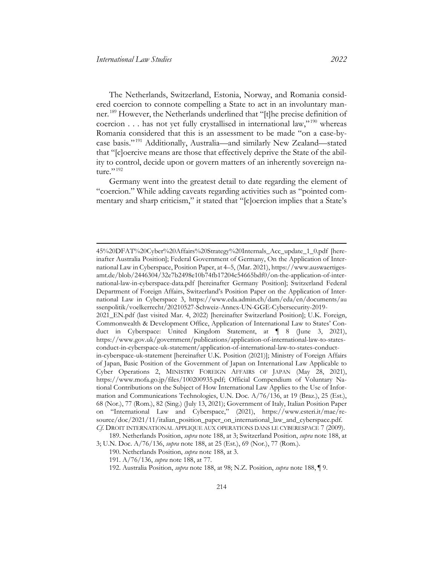The Netherlands, Switzerland, Estonia, Norway, and Romania considered coercion to connote compelling a State to act in an involuntary manner. [189](#page-35-0) However, the Netherlands underlined that "[t]he precise definition of coercion . . . has not yet fully crystallised in international law,"<sup>[190](#page-35-1)</sup> whereas Romania considered that this is an assessment to be made "on a case-bycase basis." [191](#page-35-2) Additionally, Australia—and similarly New Zealand—stated that "[c]oercive means are those that effectively deprive the State of the ability to control, decide upon or govern matters of an inherently sovereign na $ture.$ " [192](#page-35-3)

Germany went into the greatest detail to date regarding the element of "coercion." While adding caveats regarding activities such as "pointed commentary and sharp criticism," it stated that "[c]oercion implies that a State's

[<sup>45%20</sup>DFAT%20Cyber%20Affairs%20Strategy%20Internals\\_Acc\\_update\\_1\\_0.pdf](https://www.internationalcybertech.gov.au/sites/default/files/2021-04/21045%20DFAT%20Cyber%20Affairs%20Strategy%20Internals_Acc_update_1_0.pdf) [hereinafter Australia Position]; Federal Government of Germany, On the Application of International Law in Cyberspace, Position Paper, at 4–5, (Mar. 2021), https://www.auswaertigesamt.de/blob/2446304/32e7b2498e10b74fb17204c54665bdf0/on-the-application-of-international-law-in-cyberspace-data.pdf [hereinafter Germany Position]; Switzerland Federal Department of Foreign Affairs, Switzerland's Position Paper on the Application of International Law in Cyberspace 3, [https://www.eda.admin.ch/dam/eda/en/documents/au](https://www.eda.admin.ch/dam/eda/en/documents/aussenpolitik/voelkerrecht/20210527-Schweiz-Annex-UN-GGE-Cybersecurity-2019-2021_EN.pdf)  [ssenpolitik/voelkerrecht/20210527-Schweiz-Annex-UN-GGE-Cybersecurity-2019-](https://www.eda.admin.ch/dam/eda/en/documents/aussenpolitik/voelkerrecht/20210527-Schweiz-Annex-UN-GGE-Cybersecurity-2019-2021_EN.pdf) [2021\\_EN.pdf](https://www.eda.admin.ch/dam/eda/en/documents/aussenpolitik/voelkerrecht/20210527-Schweiz-Annex-UN-GGE-Cybersecurity-2019-2021_EN.pdf) (last visited Mar. 4, 2022) [hereinafter Switzerland Position]; U.K. Foreign, Commonwealth & Development Office, Application of International Law to States' Conduct in Cyberspace: United Kingdom Statement, at ¶ 8 (June 3, 2021), https://www.gov.uk/government/publications/application-of-international-law-to-statesconduct-in-cyberspace-uk-statement/application-of-international-law-to-states-conductin-cyberspace-uk-statement [hereinafter U.K. Position (2021)]; Ministry of Foreign Affairs of Japan, Basic Position of the Government of Japan on International Law Applicable to Cyber Operations 2, MINISTRY FOREIGN AFFAIRS OF JAPAN (May 28, 2021), https://www.mofa.go.jp/files/100200935.pdf; Official Compendium of Voluntary National Contributions on the Subject of How International Law Applies to the Use of Information and Communications Technologies, U.N. Doc. A/76/136, at 19 (Braz.), 25 (Est.), 68 (Nor.), 77 (Rom.), 82 (Sing.) (July 13, 2021); Government of Italy, Italian Position Paper on "International Law and Cyberspace," (2021), https://www.esteri.it/mae/resource/doc/2021/11/italian\_position\_paper\_on\_international\_law\_and\_cyberspace.pdf.

<span id="page-35-0"></span>*Cf*. DROIT INTERNATIONAL APPLIQUE AUX OPERATIONS DANS LE CYBERESPACE 7 (2009). 189. Netherlands Position, *supra* not[e 188,](#page-34-2) at 3; Switzerland Position, *supra* note [188,](#page-34-2) at

<span id="page-35-3"></span><span id="page-35-2"></span><span id="page-35-1"></span><sup>3;</sup> U.N. Doc. A/76/136, *supra* note [188,](#page-34-2) at 25 (Est.), 69 (Nor.), 77 (Rom.).

<sup>190.</sup> Netherlands Position, *supra* note [188,](#page-34-2) at 3.

<sup>191.</sup> A/76/136, *supra* note [188,](#page-34-2) at 77.

<sup>192.</sup> Australia Position, *supra* note [188,](#page-34-2) at 98; N.Z. Position, *supra* not[e 188,](#page-34-2) ¶ 9.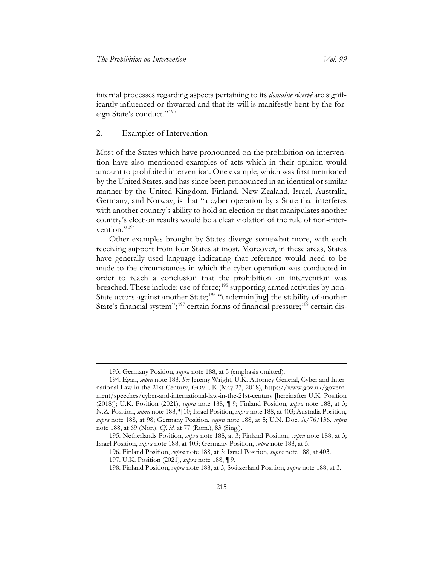internal processes regarding aspects pertaining to its *domaine réservé* are significantly influenced or thwarted and that its will is manifestly bent by the for-eign State's conduct."<sup>[193](#page-36-0)</sup>

#### 2. Examples of Intervention

Most of the States which have pronounced on the prohibition on intervention have also mentioned examples of acts which in their opinion would amount to prohibited intervention. One example, which was first mentioned by the United States, and has since been pronounced in an identical or similar manner by the United Kingdom, Finland, New Zealand, Israel, Australia, Germany, and Norway, is that "a cyber operation by a State that interferes with another country's ability to hold an election or that manipulates another country's election results would be a clear violation of the rule of non-inter-vention."<sup>[194](#page-36-1)</sup>

<span id="page-36-6"></span>Other examples brought by States diverge somewhat more, with each receiving support from four States at most. Moreover, in these areas, States have generally used language indicating that reference would need to be made to the circumstances in which the cyber operation was conducted in order to reach a conclusion that the prohibition on intervention was breached. These include: use of force;<sup>[195](#page-36-2)</sup> supporting armed activities by non-State actors against another State;<sup>[196](#page-36-3)</sup> "undermin[ing] the stability of another State's financial system";<sup>[197](#page-36-4)</sup> certain forms of financial pressure;<sup>[198](#page-36-5)</sup> certain dis-

<sup>193.</sup> Germany Position, *supra* note [188,](#page-34-2) at 5 (emphasis omitted).

<span id="page-36-1"></span><span id="page-36-0"></span><sup>194.</sup> Egan, *supra* note [188.](#page-34-2) *See* Jeremy Wright, U.K. Attorney General, Cyber and International Law in the 21st Century, GOV.UK (May 23, 2018), https://www.gov.uk/government/speeches/cyber-and-international-law-in-the-21st-century [hereinafter U.K. Position (2018)]; U.K. Position (2021), *supra* note [188,](#page-34-2) ¶ 9; Finland Position, *supra* note [188,](#page-34-2) at 3; N.Z. Position, *supra* note [188,](#page-34-2) ¶ 10; Israel Position, *supra* not[e 188,](#page-34-2) at 403; Australia Position, *supra* note [188,](#page-34-2) at 98; Germany Position, *supra* note [188,](#page-34-2) at 5; U.N. Doc. A/76/136, *supra*  note [188,](#page-34-2) at 69 (Nor.). *Cf*. *id*. at 77 (Rom.), 83 (Sing.).

<span id="page-36-5"></span><span id="page-36-4"></span><span id="page-36-3"></span><span id="page-36-2"></span><sup>195.</sup> Netherlands Position, *supra* note [188,](#page-34-2) at 3; Finland Position, *supra* note [188,](#page-34-2) at 3; Israel Position, *supra* note [188,](#page-34-2) at 403; Germany Position, *supra* note [188,](#page-34-2) at 5.

<sup>196.</sup> Finland Position, *supra* note [188,](#page-34-2) at 3; Israel Position, *supra* note [188,](#page-34-2) at 403.

<sup>197.</sup> U.K. Position (2021), *supra* not[e 188,](#page-34-2) ¶ 9.

<sup>198.</sup> Finland Position, *supra* note [188,](#page-34-2) at 3; Switzerland Position, *supra* note [188,](#page-34-2) at 3.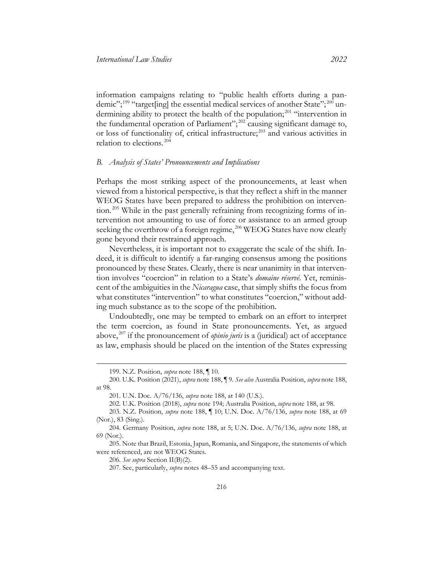information campaigns relating to "public health efforts during a pan-demic";<sup>[199](#page-37-1)</sup> "target[ing] the essential medical services of another State";<sup>[200](#page-37-2)</sup> un-dermining ability to protect the health of the population;<sup>[201](#page-37-3)</sup> "intervention in the fundamental operation of Parliament";<sup>[202](#page-37-4)</sup> causing significant damage to, or loss of functionality of, critical infrastructure; [203](#page-37-5) and various activities in relation to elections. [204](#page-37-6)

#### <span id="page-37-0"></span>*B. Analysis of States' Pronouncements and Implications*

Perhaps the most striking aspect of the pronouncements, at least when viewed from a historical perspective, is that they reflect a shift in the manner WEOG States have been prepared to address the prohibition on interven-tion.<sup>[205](#page-37-7)</sup> While in the past generally refraining from recognizing forms of intervention not amounting to use of force or assistance to an armed group seeking the overthrow of a foreign regime,<sup>[206](#page-37-8)</sup> WEOG States have now clearly gone beyond their restrained approach.

Nevertheless, it is important not to exaggerate the scale of the shift. Indeed, it is difficult to identify a far-ranging consensus among the positions pronounced by these States. Clearly, there is near unanimity in that intervention involves "coercion" in relation to a State's *domaine réservé*. Yet, reminiscent of the ambiguities in the *Nicaragua* case, that simply shifts the focus from what constitutes "intervention" to what constitutes "coercion," without adding much substance as to the scope of the prohibition.

Undoubtedly, one may be tempted to embark on an effort to interpret the term coercion, as found in State pronouncements. Yet, as argued above, [207](#page-37-9) if the pronouncement of *opinio juris* is a (juridical) act of acceptance as law, emphasis should be placed on the intention of the States expressing

206. *See supra* Section II(B)(2).

<sup>199.</sup> N.Z. Position, *supra* note [188,](#page-34-2) ¶ 10.

<span id="page-37-3"></span><span id="page-37-2"></span><span id="page-37-1"></span><sup>200.</sup> U.K. Position (2021), *supra* not[e 188,](#page-34-2) ¶ 9. *See also* Australia Position, *supra* note [188,](#page-34-2) at 98.

<sup>201.</sup> U.N. Doc. A/76/136, *supra* not[e 188,](#page-34-2) at 140 (U.S.).

<sup>202.</sup> U.K. Position (2018), *supra* not[e 194;](#page-36-6) Australia Position, *supra* note [188,](#page-34-2) at 98.

<span id="page-37-5"></span><span id="page-37-4"></span><sup>203.</sup> N.Z. Position, *supra* note [188,](#page-34-2) ¶ 10; U.N. Doc. A/76/136, *supra* note [188,](#page-34-2) at 69 (Nor.), 83 (Sing.).

<span id="page-37-6"></span><sup>204.</sup> Germany Position, *supra* note [188,](#page-34-2) at 5; U.N. Doc. A/76/136, *supra* note [188,](#page-34-2) at 69 (Nor.).

<span id="page-37-9"></span><span id="page-37-8"></span><span id="page-37-7"></span><sup>205.</sup> Note that Brazil, Estonia, Japan, Romania, and Singapore, the statements of which were referenced, are not WEOG States.

<sup>207.</sup> See, particularly, *supra* notes [48–](#page-9-8)[55](#page-11-7) and accompanying text.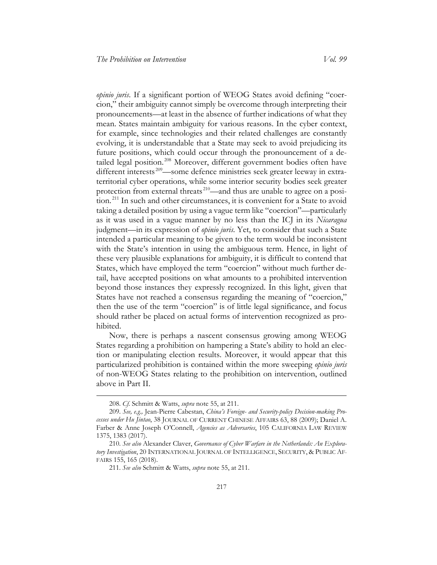*opinio juris*. If a significant portion of WEOG States avoid defining "coercion," their ambiguity cannot simply be overcome through interpreting their pronouncements—at least in the absence of further indications of what they mean. States maintain ambiguity for various reasons. In the cyber context, for example, since technologies and their related challenges are constantly evolving, it is understandable that a State may seek to avoid prejudicing its future positions, which could occur through the pronouncement of a de-tailed legal position.<sup>[208](#page-38-0)</sup> Moreover, different government bodies often have different interests<sup>209</sup>—some defence ministries seek greater leeway in extraterritorial cyber operations, while some interior security bodies seek greater protection from external threats<sup>[210](#page-38-2)</sup>—and thus are unable to agree on a position. [211](#page-38-3) In such and other circumstances, it is convenient for a State to avoid taking a detailed position by using a vague term like "coercion"—particularly as it was used in a vague manner by no less than the ICJ in its *Nicaragua* judgment—in its expression of *opinio juris*. Yet, to consider that such a State intended a particular meaning to be given to the term would be inconsistent with the State's intention in using the ambiguous term. Hence, in light of these very plausible explanations for ambiguity, it is difficult to contend that States, which have employed the term "coercion" without much further detail, have accepted positions on what amounts to a prohibited intervention beyond those instances they expressly recognized. In this light, given that States have not reached a consensus regarding the meaning of "coercion," then the use of the term "coercion" is of little legal significance, and focus should rather be placed on actual forms of intervention recognized as prohibited.

Now, there is perhaps a nascent consensus growing among WEOG States regarding a prohibition on hampering a State's ability to hold an election or manipulating election results. Moreover, it would appear that this particularized prohibition is contained within the more sweeping *opinio juris* of non-WEOG States relating to the prohibition on intervention, outlined above in Part II.

<sup>208.</sup> *Cf*. Schmitt & Watts, *supra* note [55,](#page-11-7) at 211.

<span id="page-38-1"></span><span id="page-38-0"></span><sup>209.</sup> *See, e.g.,* Jean-Pierre Cabestan, *China's Foreign- and Security-policy Decision-making Processes under Hu Jintao*, 38 JOURNAL OF CURRENT CHINESE AFFAIRS 63, 88 (2009); Daniel A. Farber & Anne Joseph O'Connell, *Agencies as Adversaries*, 105 CALIFORNIA LAW REVIEW 1375, 1383 (2017).

<span id="page-38-3"></span><span id="page-38-2"></span><sup>210.</sup> *See also* Alexander Claver, *Governance of Cyber Warfare in the Netherlands: An Exploratory Investigation*, 20 INTERNATIONAL JOURNAL OF INTELLIGENCE, SECURITY, & PUBLIC AF-FAIRS 155, 165 (2018).

<sup>211.</sup> *See also* Schmitt & Watts, *supra* note [55,](#page-11-7) at 211.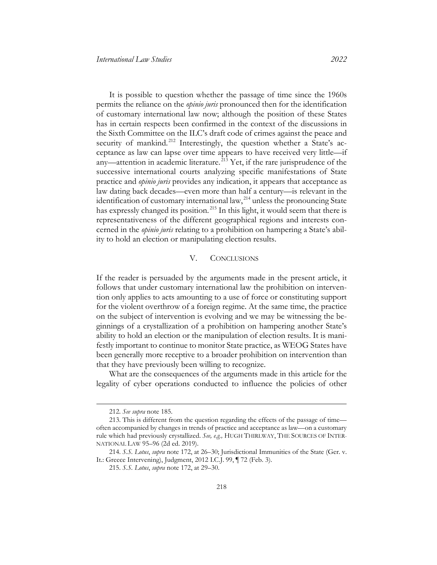It is possible to question whether the passage of time since the 1960s permits the reliance on the *opinio juris* pronounced then for the identification of customary international law now; although the position of these States has in certain respects been confirmed in the context of the discussions in the Sixth Committee on the ILC's draft code of crimes against the peace and security of mankind.<sup>[212](#page-39-1)</sup> Interestingly, the question whether a State's acceptance as law can lapse over time appears to have received very little—if any—attention in academic literature.<sup>[213](#page-39-2)</sup> Yet, if the rare jurisprudence of the successive international courts analyzing specific manifestations of State practice and *opinio juris* provides any indication, it appears that acceptance as law dating back decades—even more than half a century—is relevant in the identification of customary international law, [214](#page-39-3) unless the pronouncing State has expressly changed its position.<sup>[215](#page-39-4)</sup> In this light, it would seem that there is representativeness of the different geographical regions and interests concerned in the *opinio juris* relating to a prohibition on hampering a State's ability to hold an election or manipulating election results.

#### V. CONCLUSIONS

<span id="page-39-0"></span>If the reader is persuaded by the arguments made in the present article, it follows that under customary international law the prohibition on intervention only applies to acts amounting to a use of force or constituting support for the violent overthrow of a foreign regime. At the same time, the practice on the subject of intervention is evolving and we may be witnessing the beginnings of a crystallization of a prohibition on hampering another State's ability to hold an election or the manipulation of election results. It is manifestly important to continue to monitor State practice, as WEOG States have been generally more receptive to a broader prohibition on intervention than that they have previously been willing to recognize.

What are the consequences of the arguments made in this article for the legality of cyber operations conducted to influence the policies of other

<sup>212.</sup> *See supra* not[e 185.](#page-33-7)

<span id="page-39-2"></span><span id="page-39-1"></span><sup>213.</sup> This is different from the question regarding the effects of the passage of time often accompanied by changes in trends of practice and acceptance as law—on a customary rule which had previously crystallized. *See, e.g.,* HUGH THIRLWAY, THE SOURCES OF INTER-NATIONAL LAW 95–96 (2d ed. 2019).

<span id="page-39-4"></span><span id="page-39-3"></span><sup>214.</sup> *S.S. Lotus*, *supra* note [172,](#page-30-9) at 26–30; Jurisdictional Immunities of the State (Ger. v. It.: Greece Intervening), Judgment, 2012 I.C.J. 99, ¶ 72 (Feb. 3).

<sup>215.</sup> *S.S. Lotus*, *supra* note [172,](#page-30-9) at 29–30.